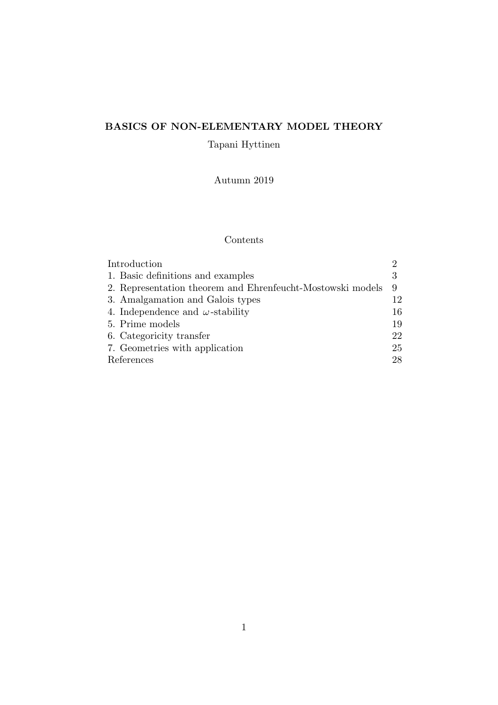# **BASICS OF NON-ELEMENTARY MODEL THEORY**

Tapani Hyttinen

Autumn 2019

# Contents

| Introduction                                               | റ  |
|------------------------------------------------------------|----|
| 1. Basic definitions and examples                          | 3  |
| 2. Representation theorem and Ehrenfeucht-Mostowski models | 9  |
| 3. Amalgamation and Galois types                           | 12 |
| 4. Independence and $\omega$ -stability                    | 16 |
| 5. Prime models                                            | 19 |
| 6. Categoricity transfer                                   | 22 |
| 7. Geometries with application                             | 25 |
| References                                                 | 28 |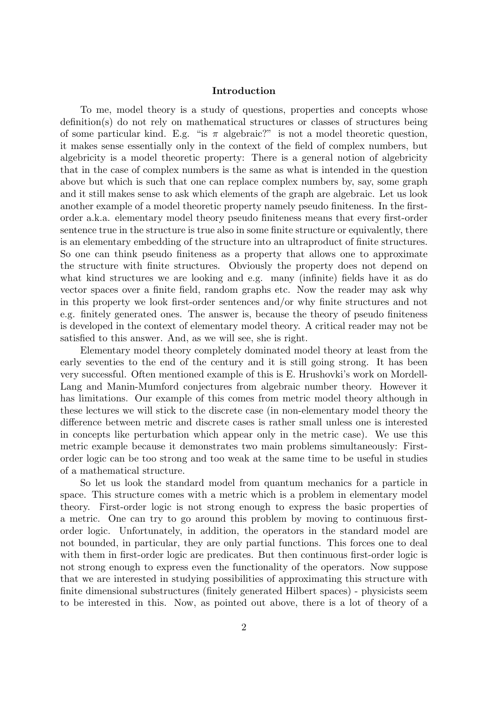# **Introduction**

To me, model theory is a study of questions, properties and concepts whose definition(s) do not rely on mathematical structures or classes of structures being of some particular kind. E.g. "is  $\pi$  algebraic?" is not a model theoretic question, it makes sense essentially only in the context of the field of complex numbers, but algebricity is a model theoretic property: There is a general notion of algebricity that in the case of complex numbers is the same as what is intended in the question above but which is such that one can replace complex numbers by, say, some graph and it still makes sense to ask which elements of the graph are algebraic. Let us look another example of a model theoretic property namely pseudo finiteness. In the firstorder a.k.a. elementary model theory pseudo finiteness means that every first-order sentence true in the structure is true also in some finite structure or equivalently, there is an elementary embedding of the structure into an ultraproduct of finite structures. So one can think pseudo finiteness as a property that allows one to approximate the structure with finite structures. Obviously the property does not depend on what kind structures we are looking and e.g. many (infinite) fields have it as do vector spaces over a finite field, random graphs etc. Now the reader may ask why in this property we look first-order sentences and/or why finite structures and not e.g. finitely generated ones. The answer is, because the theory of pseudo finiteness is developed in the context of elementary model theory. A critical reader may not be satisfied to this answer. And, as we will see, she is right.

Elementary model theory completely dominated model theory at least from the early seventies to the end of the century and it is still going strong. It has been very successful. Often mentioned example of this is E. Hrushovki's work on Mordell-Lang and Manin-Mumford conjectures from algebraic number theory. However it has limitations. Our example of this comes from metric model theory although in these lectures we will stick to the discrete case (in non-elementary model theory the difference between metric and discrete cases is rather small unless one is interested in concepts like perturbation which appear only in the metric case). We use this metric example because it demonstrates two main problems simultaneously: Firstorder logic can be too strong and too weak at the same time to be useful in studies of a mathematical structure.

So let us look the standard model from quantum mechanics for a particle in space. This structure comes with a metric which is a problem in elementary model theory. First-order logic is not strong enough to express the basic properties of a metric. One can try to go around this problem by moving to continuous firstorder logic. Unfortunately, in addition, the operators in the standard model are not bounded, in particular, they are only partial functions. This forces one to deal with them in first-order logic are predicates. But then continuous first-order logic is not strong enough to express even the functionality of the operators. Now suppose that we are interested in studying possibilities of approximating this structure with finite dimensional substructures (finitely generated Hilbert spaces) - physicists seem to be interested in this. Now, as pointed out above, there is a lot of theory of a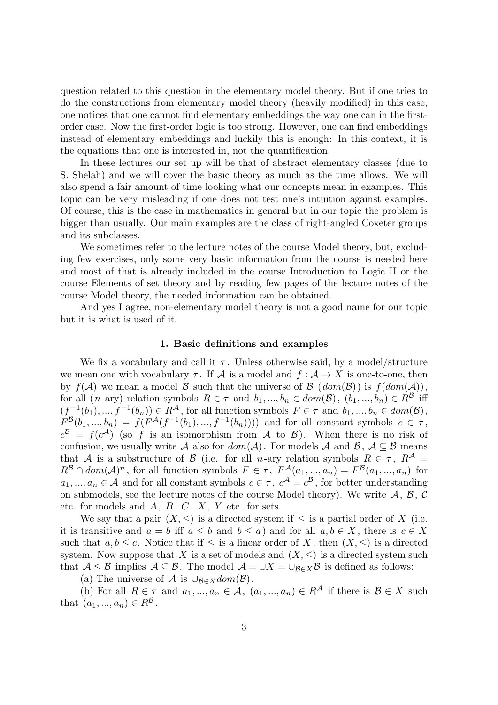question related to this question in the elementary model theory. But if one tries to do the constructions from elementary model theory (heavily modified) in this case, one notices that one cannot find elementary embeddings the way one can in the firstorder case. Now the first-order logic is too strong. However, one can find embeddings instead of elementary embeddings and luckily this is enough: In this context, it is the equations that one is interested in, not the quantification.

In these lectures our set up will be that of abstract elementary classes (due to S. Shelah) and we will cover the basic theory as much as the time allows. We will also spend a fair amount of time looking what our concepts mean in examples. This topic can be very misleading if one does not test one's intuition against examples. Of course, this is the case in mathematics in general but in our topic the problem is bigger than usually. Our main examples are the class of right-angled Coxeter groups and its subclasses.

We sometimes refer to the lecture notes of the course Model theory, but, excluding few exercises, only some very basic information from the course is needed here and most of that is already included in the course Introduction to Logic II or the course Elements of set theory and by reading few pages of the lecture notes of the course Model theory, the needed information can be obtained.

And yes I agree, non-elementary model theory is not a good name for our topic but it is what is used of it.

# **1. Basic definitions and examples**

We fix a vocabulary and call it  $\tau$ . Unless otherwise said, by a model/structure we mean one with vocabulary  $\tau$ . If  $\mathcal A$  is a model and  $f : \mathcal A \to X$  is one-to-one, then by  $f(A)$  we mean a model  $B$  such that the universe of  $B(dom(B))$  is  $f(dom(A)),$ for all  $(n$ -ary) relation symbols  $R \in \tau$  and  $b_1, ..., b_n \in dom(\mathcal{B}), (b_1, ..., b_n) \in R^{\mathcal{B}}$  iff  $(f^{-1}(b_1), ..., f^{-1}(b_n)) \in R^{\mathcal{A}}$ , for all function symbols  $F \in \tau$  and  $b_1, ..., b_n \in dom(\mathcal{B})$ ,  $F^{\mathcal{B}}(b_1, ..., b_n) = f(F^{\mathcal{A}}(f^{-1}(b_1), ..., f^{-1}(b_n))))$  and for all constant symbols  $c \in \tau$ ,  $c^{\mathcal{B}} = f(c^{\mathcal{A}})$  (so *f* is an isomorphism from *A* to *B*). When there is no risk of confusion, we usually write *A* also for  $dom(\mathcal{A})$ . For models *A* and *B*,  $\mathcal{A} \subseteq \mathcal{B}$  means that *A* is a substructure of *B* (i.e. for all *n*-ary relation symbols  $R \in \tau$ ,  $R^{\mathcal{A}} =$  $R^{\mathcal{B}} \cap dom(\mathcal{A})^n$ , for all function symbols  $F \in \tau$ ,  $F^{\mathcal{A}}(a_1, ..., a_n) = F^{\mathcal{B}}(a_1, ..., a_n)$  for  $a_1, ..., a_n \in \mathcal{A}$  and for all constant symbols  $c \in \tau$ ,  $c^{\mathcal{A}} = c^{\mathcal{B}}$ , for better understanding on submodels, see the lecture notes of the course Model theory). We write  $A, B, C$ etc. for models and *A*, *B*, *C* , *X* , *Y* etc. for sets.

We say that a pair  $(X, \leq)$  is a directed system if  $\leq$  is a partial order of X (i.e. it is transitive and  $a = b$  iff  $a \leq b$  and  $b \leq a$ ) and for all  $a, b \in X$ , there is  $c \in X$ such that  $a, b \leq c$ . Notice that if  $\leq$  is a linear order of *X*, then  $(X, \leq)$  is a directed system. Now suppose that *X* is a set of models and  $(X, \leq)$  is a directed system such that  $A \leq B$  implies  $A \subseteq B$ . The model  $A = \cup X = \cup_{B \in X} B$  is defined as follows:

(a) The universe of  $\mathcal A$  is  $\cup_{\mathcal B \in X} dom(\mathcal B)$ .

(b) For all  $R \in \tau$  and  $a_1, ..., a_n \in \mathcal{A}$ ,  $(a_1, ..., a_n) \in R^{\mathcal{A}}$  if there is  $\mathcal{B} \in X$  such that  $(a_1, ..., a_n) \in R^{\mathcal{B}}$ .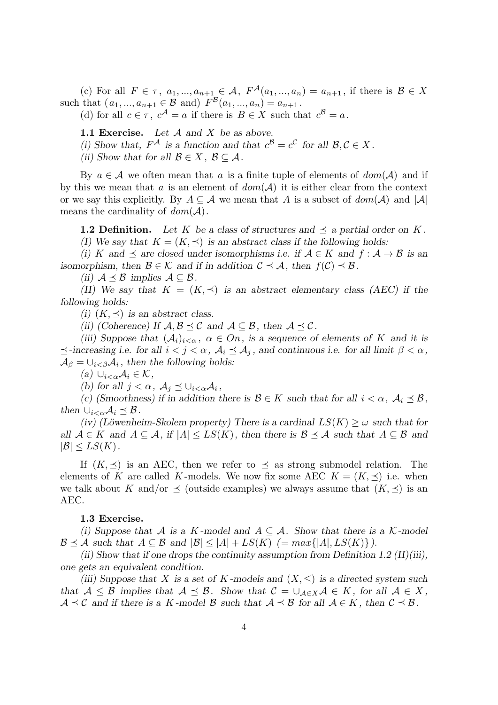(c) For all  $F \in \tau$ ,  $a_1, ..., a_{n+1} \in \mathcal{A}$ ,  $F^{\mathcal{A}}(a_1, ..., a_n) = a_{n+1}$ , if there is  $\mathcal{B} \in X$ such that  $(a_1, ..., a_{n+1} \in \mathcal{B} \text{ and } F^{\mathcal{B}}(a_1, ..., a_n) = a_{n+1}.$ 

(d) for all  $c \in \tau$ ,  $c^{\mathcal{A}} = a$  if there is  $B \in X$  such that  $c^{\mathcal{B}} = a$ .

**1.1 Exercise.** *Let A and X be as above.*

*(i)* Show that,  $F^{\mathcal{A}}$  is a function and that  $c^{\mathcal{B}} = c^{\mathcal{C}}$  for all  $\mathcal{B}, \mathcal{C} \in X$ .

*(ii)* Show that for all  $B \in X$ ,  $B \subseteq A$ .

By  $a \in \mathcal{A}$  we often mean that  $a$  is a finite tuple of elements of  $dom(\mathcal{A})$  and if by this we mean that *a* is an element of  $dom(\mathcal{A})$  it is either clear from the context or we say this explicitly. By  $A \subseteq \mathcal{A}$  we mean that A is a subset of  $dom(\mathcal{A})$  and  $|\mathcal{A}|$ means the cardinality of  $dom(\mathcal{A})$ .

**1.2 Definition.** Let K be a class of structures and  $\prec$  a partial order on K.

*(I)* We say that  $K = (K, \preceq)$  *is an abstract class if the following holds:* 

*(i) K* and  $\prec$  are closed under isomorphisms i.e. if  $A \in K$  and  $f : A \rightarrow B$  is an *isomorphism, then*  $\mathcal{B} \in \mathcal{K}$  *and if in addition*  $\mathcal{C} \preceq \mathcal{A}$ *, then*  $f(\mathcal{C}) \preceq \mathcal{B}$ *.* 

*(ii)*  $A \leq B$  *implies*  $A \subseteq B$ *.* 

*(II)* We say that  $K = (K, \prec)$  *is an abstract elementary class (AEC) if the following holds:*

*(i)*  $(K, \prec)$  *is an abstract class.* 

*(ii) (Coherence)* If  $A, B \prec C$  *and*  $A \subset B$ *, then*  $A \prec C$ *.* 

*(iii)* Suppose that  $(A_i)_{i < \alpha}, \alpha \in On$ , is a sequence of elements of K and it is  $\preceq$ -increasing i.e. for all  $i < j < \alpha$ ,  $\mathcal{A}_i \preceq \mathcal{A}_j$ , and continuous i.e. for all limit  $\beta < \alpha$ ,  $A_{\beta} = \bigcup_{i < \beta} A_i$ , then the following holds:

*(a) ∪i<αA<sup>i</sup> ∈ K,*

*(b)* for all  $j < \alpha$ ,  $A_j \preceq \bigcup_{i < \alpha} A_i$ ,

*(c)* (Smoothness) if in addition there is  $\mathcal{B} \in K$  such that for all  $i < \alpha$ ,  $\mathcal{A}_i \preceq \mathcal{B}$ , *then*  $\cup_{i < \alpha} A_i \preceq B$ .

*(iv) (Löwenheim-Skolem property) There is a cardinal*  $LS(K) \geq \omega$  *such that for all*  $A \in K$  *and*  $A \subseteq A$ *, if*  $|A| \leq LS(K)$ *, then there is*  $B \preceq A$  *such that*  $A \subseteq B$  *and*  $|\mathcal{B}| \leq LS(K)$ .

If  $(K, \preceq)$  is an AEC, then we refer to  $\preceq$  as strong submodel relation. The elements of *K* are called *K*-models. We now fix some AEC  $K = (K, \prec)$  i.e. when we talk about *K* and/or  $\leq$  (outside examples) we always assume that  $(K, \leq)$  is an AEC.

# **1.3 Exercise.**

*(i)* Suppose that A is a K-model and  $A \subseteq \mathcal{A}$ . Show that there is a K-model  $\mathcal{B} \preceq \mathcal{A}$  *such that*  $A \subseteq \mathcal{B}$  *and*  $|\mathcal{B}| \leq |A| + L S(K)$  (=  $max\{|A|, L S(K)\}\$ ).

*(ii) Show that if one drops the continuity assumption from Definition 1.2 (II)(iii), one gets an equivalent condition.*

*(iii)* Suppose that *X* is a set of *K* -models and  $(X, \leq)$  is a directed system such *that*  $A \leq B$  *implies that*  $A \preceq B$ *. Show that*  $C = \bigcup_{A \in X} A \in K$ *, for all*  $A \in X$ *,*  $A \preceq C$  *and if there is a K -model B such that*  $A \preceq B$  *for all*  $A \in K$ *, then*  $C \preceq B$ *.*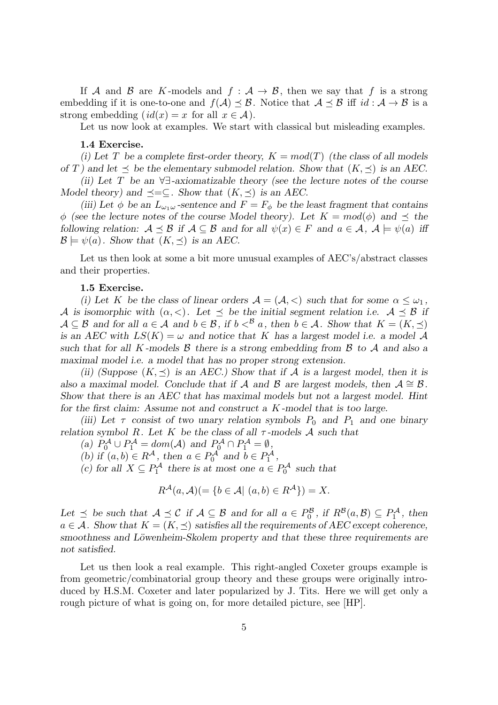If *A* and *B* are *K*-models and  $f : A \rightarrow B$ , then we say that f is a strong embedding if it is one-to-one and  $f(A) \leq B$ . Notice that  $A \leq B$  iff  $id : A \rightarrow B$  is a strong embedding  $(id(x) = x$  for all  $x \in A$ ).

Let us now look at examples. We start with classical but misleading examples.

## **1.4 Exercise.**

*(i)* Let T be a complete first-order theory,  $K = mod(T)$  (the class of all models *of T*) and let  $\leq$  *be the elementary submodel relation. Show that*  $(K, \leq)$  *is an AEC.* 

*(ii) Let T be an ∀∃-axiomatizable theory (see the lecture notes of the course Model theory) and*  $\preceq = \subseteq$ *. Show that*  $(K, \preceq)$  *is an AEC.* 

*(iii)* Let  $\phi$  be an  $L_{\omega_1\omega}$ -sentence and  $F = F_{\phi}$  be the least fragment that contains  $\phi$  (see the lecture notes of the course Model theory). Let  $K = mod(\phi)$  and  $\prec$  the *following relation:*  $A \prec B$  *if*  $A \subseteq B$  *and for all*  $\psi(x) \in F$  *and*  $a \in A$ ,  $A \models \psi(a)$  *iff*  $\mathcal{B} \models \psi(a)$ *. Show that*  $(K, \preceq)$  *is an AEC.* 

Let us then look at some a bit more unusual examples of AEC's/abstract classes and their properties.

#### **1.5 Exercise.**

*(i)* Let *K* be the class of linear orders  $A = (A, \langle)$  such that for some  $\alpha \leq \omega_1$ , *A* is isomorphic with  $(\alpha, <)$ . Let  $\prec$  be the initial segment relation i.e.  $A \prec B$  if  $A \subseteq \mathcal{B}$  and for all  $a \in \mathcal{A}$  and  $b \in \mathcal{B}$ , if  $b <^{\mathcal{B}} a$ , then  $b \in \mathcal{A}$ . Show that  $K = (K, \preceq)$ *is an AEC with*  $LS(K) = \omega$  *and notice that K has a largest model i.e. a model A such that for all K -models B there is a strong embedding from B to A and also a maximal model i.e. a model that has no proper strong extension.*

*(ii) (Suppose*  $(K, \prec)$  *is an AEC.) Show that if*  $\cal{A}$  *is a largest model, then it is also a maximal model. Conclude that if*  $\mathcal A$  *and*  $\mathcal B$  *are largest models, then*  $\mathcal A \cong \mathcal B$ *. Show that there is an AEC that has maximal models but not a largest model. Hint for the first claim: Assume not and construct a K -model that is too large.*

*(iii)* Let  $\tau$  consist of two unary relation symbols  $P_0$  and  $P_1$  and one binary *relation symbol R.* Let *K be the class of all*  $\tau$ -models *A* such that

*(a)*  $P_0^{\mathcal{A}} \cup P_1^{\mathcal{A}} = dom(\mathcal{A})$  *and*  $P_0^{\mathcal{A}} \cap P_1^{\mathcal{A}} = \emptyset$ ,

*(b) if*  $(a, b) \in R^{\mathcal{A}}$ , *then*  $a \in P_0^{\mathcal{A}}$  *and*  $b \in P_1^{\mathcal{A}}$ ,

*(c)* for all *X* ⊆  $P_1^{\mathcal{A}}$  there is at most one  $a \in P_0^{\mathcal{A}}$  such that

$$
R^{\mathcal{A}}(a,\mathcal{A})\left(=\{b\in\mathcal{A}\big|\ (a,b)\in R^{\mathcal{A}}\}\right)=X.
$$

*Let*  $\leq$  *be such that*  $A \leq C$  *if*  $A \subseteq B$  *and for all*  $a \in P_0^B$ *, if*  $R^B(a, B) \subseteq P_1^A$ *, then*  $a \in \mathcal{A}$ . Show that  $K = (K, \preceq)$  satisfies all the requirements of AEC except coherence, smoothness and Löwenheim-Skolem property and that these three requirements are *not satisfied.*

Let us then look a real example. This right-angled Coxeter groups example is from geometric/combinatorial group theory and these groups were originally introduced by H.S.M. Coxeter and later popularized by J. Tits. Here we will get only a rough picture of what is going on, for more detailed picture, see [HP].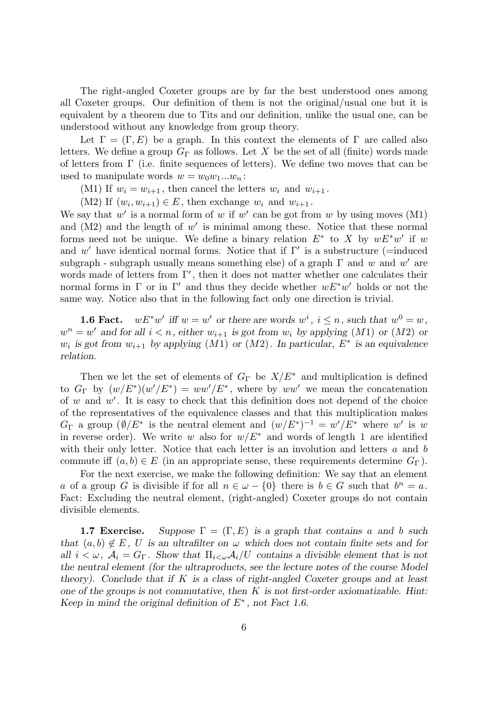The right-angled Coxeter groups are by far the best understood ones among all Coxeter groups. Our definition of them is not the original/usual one but it is equivalent by a theorem due to Tits and our definition, unlike the usual one, can be understood without any knowledge from group theory.

Let  $\Gamma = (\Gamma, E)$  be a graph. In this context the elements of  $\Gamma$  are called also letters. We define a group  $G_{\Gamma}$  as follows. Let X be the set of all (finite) words made of letters from Γ (i.e. finite sequences of letters). We define two moves that can be used to manipulate words  $w = w_0w_1...w_n$ :

(M1) If  $w_i = w_{i+1}$ , then cancel the letters  $w_i$  and  $w_{i+1}$ .

(M2) If  $(w_i, w_{i+1}) \in E$ , then exchange  $w_i$  and  $w_{i+1}$ .

We say that  $w'$  is a normal form of  $w$  if  $w'$  can be got from  $w$  by using moves (M1) and  $(M2)$  and the length of  $w'$  is minimal among these. Notice that these normal forms need not be unique. We define a binary relation  $E^*$  to X by  $wE^*w'$  if w and w' have identical normal forms. Notice that if  $\Gamma'$  is a substructure (=induced subgraph - subgraph usually means something else) of a graph  $\Gamma$  and  $w$  and  $w'$  are words made of letters from Γ*′* , then it does not matter whether one calculates their normal forms in Γ or in Γ*′* and thus they decide whether *wE<sup>∗</sup>w ′* holds or not the same way. Notice also that in the following fact only one direction is trivial.

**1.6 Fact.**  $wE^*w'$  iff  $w = w'$  or there are words  $w^i$ ,  $i \leq n$ , such that  $w^0 = w$ ,  $w^n = w'$  and for all  $i < n$ , either  $w_{i+1}$  is got from  $w_i$  by applying (*M*1) or (*M*2) or  $w_i$  *is got from*  $w_{i+1}$  *by applying*  $(M1)$  *or*  $(M2)$ *. In particular,*  $E^*$  *is an equivalence relation.*

Then we let the set of elements of  $G_{\Gamma}$  be  $X/E^*$  and multiplication is defined to  $G_{\Gamma}$  by  $(w/E^*)(w'/E^*) = ww'/E^*$ , where by *ww'* we mean the concatenation of *w* and *w ′* . It is easy to check that this definition does not depend of the choice of the representatives of the equivalence classes and that this multiplication makes *G*<sub>Γ</sub> a group  $(\emptyset / E^*$  is the neutral element and  $(w / E^*)^{-1} = w' / E^*$  where *w'* is *w* in reverse order). We write *w* also for  $w/E^*$  and words of length 1 are identified with their only letter. Notice that each letter is an involution and letters *a* and *b* commute iff  $(a, b) \in E$  (in an appropriate sense, these requirements determine  $G_{\Gamma}$ ).

For the next exercise, we make the following definition: We say that an element *a* of a group *G* is divisible if for all  $n \in \omega - \{0\}$  there is  $b \in G$  such that  $b^n = a$ . Fact: Excluding the neutral element, (right-angled) Coxeter groups do not contain divisible elements.

**1.7 Exercise.** Suppose  $\Gamma = (\Gamma, E)$  is a graph that contains a and b such *that*  $(a, b) \notin E$ , *U is an ultrafilter on*  $\omega$  *which does not contain finite sets and for all*  $i < \omega$ ,  $A_i = G_\Gamma$ . Show that  $\Pi_{i < \omega} A_i/U$  contains a divisible element that is not *the neutral element (for the ultraproducts, see the lecture notes of the course Model theory). Conclude that if K is a class of right-angled Coxeter groups and at least one of the groups is not commutative, then K is not first-order axiomatizable. Hint: Keep in mind the original definition of E<sup>∗</sup> , not Fact 1.6.*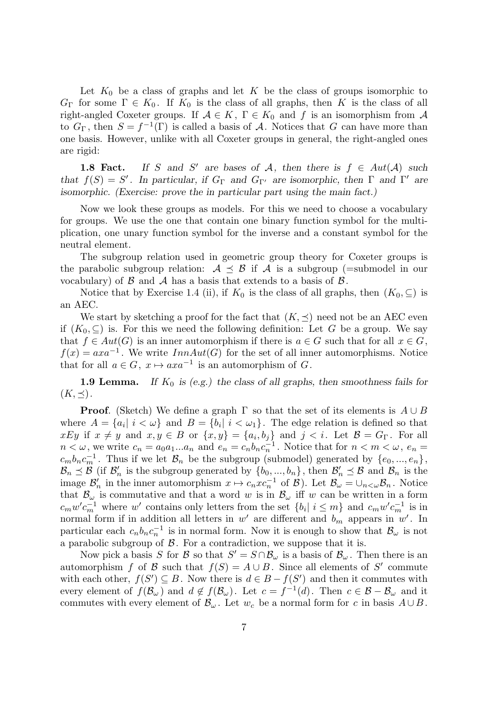Let  $K_0$  be a class of graphs and let  $K$  be the class of groups isomorphic to  $G_{\Gamma}$  for some  $\Gamma \in K_0$ . If  $K_0$  is the class of all graphs, then *K* is the class of all right-angled Coxeter groups. If  $A \in K$ ,  $\Gamma \in K_0$  and f is an isomorphism from A to  $G_{\Gamma}$ , then  $S = f^{-1}(\Gamma)$  is called a basis of *A*. Notices that *G* can have more than one basis. However, unlike with all Coxeter groups in general, the right-angled ones are rigid:

**1.8 Fact.** If *S* and *S'* are bases of *A*, then there is  $f \in Aut(A)$  such *that*  $f(S) = S'$ . In particular, if  $G_{\Gamma}$  and  $G_{\Gamma'}$  are isomorphic, then  $\Gamma$  and  $\Gamma'$  are *isomorphic. (Exercise: prove the in particular part using the main fact.)*

Now we look these groups as models. For this we need to choose a vocabulary for groups. We use the one that contain one binary function symbol for the multiplication, one unary function symbol for the inverse and a constant symbol for the neutral element.

The subgroup relation used in geometric group theory for Coxeter groups is the parabolic subgroup relation:  $A \preceq B$  if  $A$  is a subgroup (=submodel in our vocabulary) of  $\beta$  and  $\lambda$  has a basis that extends to a basis of  $\beta$ .

Notice that by Exercise 1.4 (ii), if  $K_0$  is the class of all graphs, then  $(K_0, \subseteq)$  is an AEC.

We start by sketching a proof for the fact that  $(K, \prec)$  need not be an AEC even if  $(K_0, \subset)$  is. For this we need the following definition: Let G be a group. We say that  $f \in Aut(G)$  is an inner automorphism if there is  $a \in G$  such that for all  $x \in G$ ,  $f(x) = a x a^{-1}$ . We write *InnAut*(*G*) for the set of all inner automorphisms. Notice that for all  $a \in G$ ,  $x \mapsto axa^{-1}$  is an automorphism of *G*.

**1.9 Lemma.** If  $K_0$  is (e.g.) the class of all graphs, then smoothness fails for  $(K,\preceq)$ .

**Proof**. (Sketch) We define a graph  $\Gamma$  so that the set of its elements is  $A \cup B$ where  $A = \{a_i | i < \omega\}$  and  $B = \{b_i | i < \omega_1\}$ . The edge relation is defined so that *xEy* if  $x \neq y$  and  $x, y \in B$  or  $\{x, y\} = \{a_i, b_j\}$  and  $j < i$ . Let  $B = G_{\Gamma}$ . For all  $n < \omega$ , we write  $c_n = a_0 a_1 ... a_n$  and  $e_n = c_n b_n c_n^{-1}$ . Notice that for  $n < m < \omega$ ,  $e_n =$  $c_m b_n c_m^{-1}$ . Thus if we let  $\mathcal{B}_n$  be the subgroup (submodel) generated by  $\{e_0, ..., e_n\}$ ,  $B_n \leq B$  (if  $B'_n$  is the subgroup generated by  $\{b_0, ..., b_n\}$ , then  $B'_n \leq B$  and  $B_n$  is the image  $\mathcal{B}'_n$  in the inner automorphism  $x \mapsto c_n x c_n^{-1}$  of  $\mathcal{B}$ ). Let  $\mathcal{B}_\omega = \bigcup_{n \leq \omega} \mathcal{B}_n$ . Notice that  $\mathcal{B}_{\omega}$  is commutative and that a word *w* is in  $\mathcal{B}_{\omega}$  iff *w* can be written in a form  $c_m w' c_m^{-1}$  where w' contains only letters from the set  $\{b_i | i \leq m\}$  and  $c_m w' c_m^{-1}$  is in normal form if in addition all letters in  $w'$  are different and  $b_m$  appears in  $w'$ . In particular each  $c_n b_n c_n^{-1}$  is in normal form. Now it is enough to show that  $\mathcal{B}_{\omega}$  is not a parabolic subgroup of *B*. For a contradiction, we suppose that it is.

Now pick a basis *S* for *B* so that  $S' = S \cap B_{\omega}$  is a basis of  $B_{\omega}$ . Then there is an automorphism *f* of *B* such that  $f(S) = A \cup B$ . Since all elements of *S'* commute with each other,  $f(S') \subseteq B$ . Now there is  $d \in B - f(S')$  and then it commutes with every element of  $f(\mathcal{B}_{\omega})$  and  $d \notin f(\mathcal{B}_{\omega})$ . Let  $c = f^{-1}(d)$ . Then  $c \in \mathcal{B} - \mathcal{B}_{\omega}$  and it commutes with every element of  $\mathcal{B}_{\omega}$ . Let  $w_c$  be a normal form for *c* in basis  $A \cup B$ .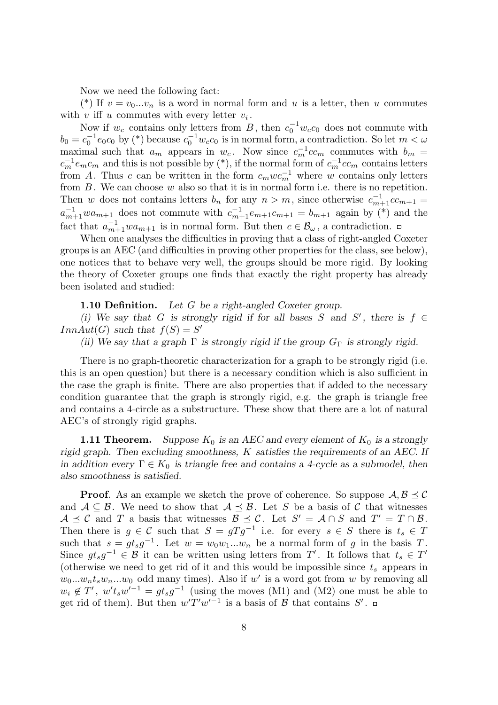Now we need the following fact:

(\*) If  $v = v_0...v_n$  is a word in normal form and *u* is a letter, then *u* commutes with  $v$  iff  $u$  commutes with every letter  $v_i$ .

Now if  $w_c$  contains only letters from *B*, then  $c_0^{-1}w_c c_0$  does not commute with  $b_0 = c_0^{-1} e_0 c_0$  by (\*) because  $c_0^{-1} w_c c_0$  is in normal form, a contradiction. So let  $m < \omega$ maximal such that  $a_m$  appears in  $w_c$ . Now since  $c_m^{-1}cc_m$  commutes with  $b_m =$  $c_m^{-1}e_m c_m$  and this is not possible by (\*), if the normal form of  $c_m^{-1}c c_m$  contains letters from *A*. Thus *c* can be written in the form  $c_m w c_m^{-1}$  where *w* contains only letters from *B*. We can choose *w* also so that it is in normal form i.e. there is no repetition. Then *w* does not contains letters  $b_n$  for any  $n > m$ , since otherwise  $c_{m+1}^{-1}c c_{m+1} =$  $a_{m+1}^{-1}wa_{m+1}$  does not commute with  $c_{m+1}^{-1}e_{m+1}c_{m+1} = b_{m+1}$  again by (\*) and the fact that  $a_{m+1}^{-1}wa_{m+1}$  is in normal form. But then  $c \in \mathcal{B}_{\omega}$ , a contradiction.

When one analyses the difficulties in proving that a class of right-angled Coxeter groups is an AEC (and difficulties in proving other properties for the class, see below), one notices that to behave very well, the groups should be more rigid. By looking the theory of Coxeter groups one finds that exactly the right property has already been isolated and studied:

**1.10 Definition.** *Let G be a right-angled Coxeter group.*

*(i)* We say that *G* is strongly rigid if for all bases *S* and *S'*, there is  $f \in$ *InnAut*(*G*) *such that*  $f(S) = S'$ 

*(ii)* We say that a graph  $\Gamma$  *is strongly rigid if the group*  $G_{\Gamma}$  *is strongly rigid.* 

There is no graph-theoretic characterization for a graph to be strongly rigid (i.e. this is an open question) but there is a necessary condition which is also sufficient in the case the graph is finite. There are also properties that if added to the necessary condition guarantee that the graph is strongly rigid, e.g. the graph is triangle free and contains a 4-circle as a substructure. These show that there are a lot of natural AEC's of strongly rigid graphs.

**1.11 Theorem.** Suppose  $K_0$  is an AEC and every element of  $K_0$  is a strongly *rigid graph. Then excluding smoothness, K satisfies the requirements of an AEC. If in addition every*  $\Gamma \in K_0$  *is triangle free and contains a 4-cycle as a submodel, then also smoothness is satisfied.*

**Proof**. As an example we sketch the prove of coherence. So suppose  $A, B \prec C$ and  $A \subseteq B$ . We need to show that  $A \preceq B$ . Let *S* be a basis of *C* that witnesses  $A \preceq C$  and *T* a basis that witnesses  $B \preceq C$ . Let  $S' = A \cap S$  and  $T' = T \cap B$ . Then there is  $g \in \mathcal{C}$  such that  $S = gTg^{-1}$  i.e. for every  $s \in S$  there is  $t_s \in T$ such that  $s = gt_s g^{-1}$ . Let  $w = w_0 w_1 ... w_n$  be a normal form of *g* in the basis *T*. Since  $gt_s g^{-1} \in \mathcal{B}$  it can be written using letters from *T'*. It follows that  $t_s \in T'$ (otherwise we need to get rid of it and this would be impossible since *t<sup>s</sup>* appears in  $w_0...w_nt_sw_n...w_0$  odd many times). Also if  $w'$  is a word got from  $w$  by removing all  $w_i \notin T'$ ,  $w' t_s w'^{-1} = g t_s g^{-1}$  (using the moves (M1) and (M2) one must be able to get rid of them). But then  $w'T'w'^{-1}$  is a basis of  $\beta$  that contains  $S'$ .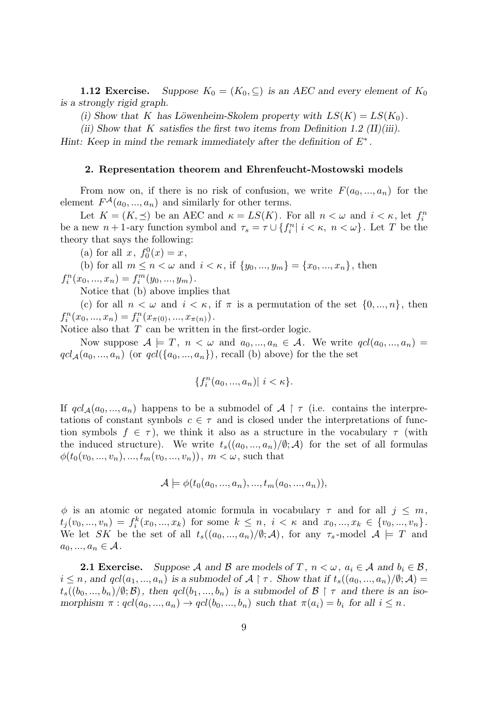**1.12 Exercise.** *Suppose*  $K_0 = (K_0, \subseteq)$  *is an AEC and every element of*  $K_0$ *is a strongly rigid graph.*

*(i)* Show that *K* has Löwenheim-Skolem property with  $LS(K) = LS(K_0)$ .

*(ii) Show that K satisfies the first two items from Definition 1.2 (II)(iii).*

*Hint:* Keep in mind the remark immediately after the definition of  $E^*$ .

# **2. Representation theorem and Ehrenfeucht-Mostowski models**

From now on, if there is no risk of confusion, we write  $F(a_0, ..., a_n)$  for the element  $F^{\mathcal{A}}(a_0, ..., a_n)$  and similarly for other terms.

Let  $K = (K, \preceq)$  be an AEC and  $\kappa = LS(K)$ . For all  $n < \omega$  and  $i < \kappa$ , let  $f_i^n$ be a new  $n+1$ -ary function symbol and  $\tau_s = \tau \cup \{f_i^n | i \leq \kappa, n \leq \omega\}$ . Let *T* be the theory that says the following:

(a) for all  $x, f_0^0(x) = x$ ,

(b) for all  $m \le n < \omega$  and  $i < \kappa$ , if  $\{y_0, ..., y_m\} = \{x_0, ..., x_n\}$ , then

 $f_i^n(x_0, ..., x_n) = f_i^m(y_0, ..., y_m).$ 

Notice that (b) above implies that

(c) for all  $n < \omega$  and  $i < \kappa$ , if  $\pi$  is a permutation of the set  $\{0, ..., n\}$ , then  $f_i^n(x_0, ..., x_n) = f_i^n(x_{\pi(0)}, ..., x_{\pi(n)})$ .

Notice also that *T* can be written in the first-order logic.

Now suppose  $A \models T$ ,  $n < \omega$  and  $a_0, ..., a_n \in A$ . We write  $qcl(a_0, ..., a_n) =$  $qcl_A(a_0, ..., a_n)$  (or  $qcl(\{a_0, ..., a_n\})$ , recall (b) above) for the the set

$$
\{f_i^n(a_0, ..., a_n)| \ i < \kappa\}.
$$

If  $qcl_A(a_0, ..., a_n)$  happens to be a submodel of  $A \restriction \tau$  (i.e. contains the interpretations of constant symbols  $c \in \tau$  and is closed under the interpretations of function symbols  $f \in \tau$ ), we think it also as a structure in the vocabulary  $\tau$  (with the induced structure). We write  $t_s((a_0, ..., a_n)/\mathcal{O}; \mathcal{A})$  for the set of all formulas  $\phi(t_0(v_0, ..., v_n), ..., t_m(v_0, ..., v_n)),$  *m* < *ω*, such that

$$
\mathcal{A} \models \phi(t_0(a_0, ..., a_n), ..., t_m(a_0, ..., a_n)),
$$

 $\phi$  is an atomic or negated atomic formula in vocabulary  $\tau$  and for all  $j \leq m$ ,  $t_j(v_0, ..., v_n) = f_i^k(x_0, ..., x_k)$  for some  $k \leq n, i < \kappa$  and  $x_0, ..., x_k \in \{v_0, ..., v_n\}.$ We let *SK* be the set of all  $t_s((a_0, ..., a_n)/\emptyset; \mathcal{A})$ , for any  $\tau_s$ -model  $\mathcal{A} \models T$  and  $a_0, ..., a_n \in A$ .

**2.1 Exercise.** Suppose A and B are models of T,  $n < \omega$ ,  $a_i \in A$  and  $b_i \in B$ ,  $i \leq n$ , and  $qcl(a_1,...,a_n)$  is a submodel of  $\mathcal{A} \restriction \tau$ . Show that if  $t_s((a_0,...,a_n)/\emptyset; \mathcal{A}) =$  $t_s((b_0, ..., b_n)/\emptyset; \mathcal{B})$ , then  $qcl(b_1, ..., b_n)$  is a submodel of  $\mathcal{B} \restriction \tau$  and there is an isomorphism  $\pi: qcl(a_0, ..., a_n) \to qcl(b_0, ..., b_n)$  such that  $\pi(a_i) = b_i$  for all  $i \leq n$ .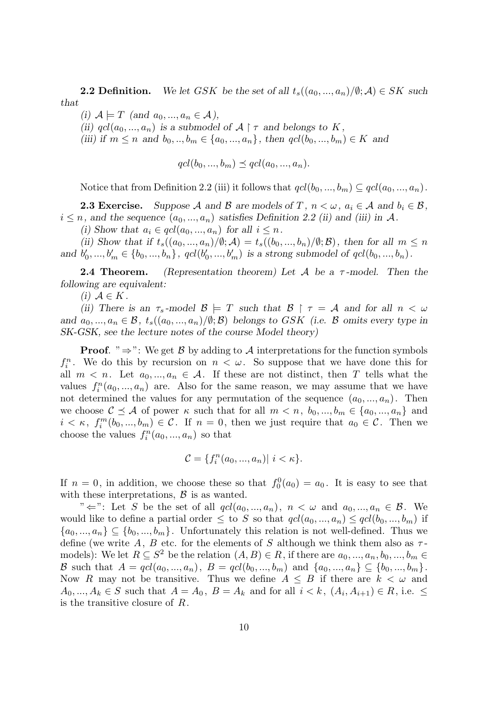**2.2 Definition.** We let GSK be the set of all  $t_s((a_0, ..., a_n)/\emptyset; \mathcal{A}) \in SK$  such *that*

 $(i)$   $A \models T$   $(and$   $a_0, ..., a_n \in A)$ ,

*(ii)*  $qcl(a_0, ..., a_n)$  *is a submodel of*  $A \upharpoonright \tau$  *and belongs to*  $K$ ,

*(iii)* if *m* ≤ *n* and  $b_0, ..., b_m$  ∈ { $a_0, ..., a_n$ }, then  $qcl(b_0, ..., b_m)$  ∈ *K* and

 $qcl(b_0, ..., b_m) \preceq qcl(a_0, ..., a_n).$ 

Notice that from Definition 2.2 (iii) it follows that  $qcl(b_0, ..., b_m) \subseteq qcl(a_0, ..., a_n)$ .

**2.3 Exercise.** Suppose A and B are models of T,  $n < \omega$ ,  $a_i \in A$  and  $b_i \in B$ ,  $i \leq n$ , and the sequence  $(a_0, ..., a_n)$  satisfies Definition 2.2 (ii) and (iii) in A.

(i) Show that  $a_i \in qcl(a_0, ..., a_n)$  for all  $i \leq n$ .

(ii) Show that if  $t_s((a_0,...,a_n)/\emptyset; \mathcal{A}) = t_s((b_0,...,b_n)/\emptyset; \mathcal{B})$ , then for all  $m \leq n$ and  $b'_0, ..., b'_m \in \{b_0, ..., b_n\}$ ,  $qcl(b'_0, ..., b'_m)$  is a strong submodel of  $qcl(b_0, ..., b_n)$ .

**2.4 Theorem.** *(Representation theorem) Let A be a τ -model. Then the following are equivalent:*

 $(i)$   $A ∈ K$ .

*(ii)* There is an  $\tau_s$ -model  $\mathcal{B} \models T$  such that  $\mathcal{B} \restriction \tau = \mathcal{A}$  and for all  $n < \omega$ *and*  $a_0, \ldots, a_n \in \mathcal{B}$ ,  $t_s((a_0, \ldots, a_n)/\emptyset; \mathcal{B})$  belongs to GSK (i.e.  $\mathcal{B}$  omits every type in *SK-GSK, see the lecture notes of the course Model theory)*

**Proof**. "*⇒*": We get *B* by adding to *A* interpretations for the function symbols  $f_i^n$ . We do this by recursion on  $n < \omega$ . So suppose that we have done this for all  $m < n$ . Let  $a_0, ..., a_n \in \mathcal{A}$ . If these are not distinct, then T tells what the values  $f_i^n(a_0, ..., a_n)$  are. Also for the same reason, we may assume that we have not determined the values for any permutation of the sequence  $(a_0, ..., a_n)$ . Then we choose  $C \preceq A$  of power  $\kappa$  such that for all  $m < n, b_0, ..., b_m \in \{a_0, ..., a_n\}$  and  $i < \kappa$ ,  $f_i^m(b_0, ..., b_m) \in \mathcal{C}$ . If  $n = 0$ , then we just require that  $a_0 \in \mathcal{C}$ . Then we choose the values  $f_i^n(a_0, ..., a_n)$  so that

$$
\mathcal{C} = \{f_i^n(a_0, ..., a_n) | i < \kappa\}.
$$

If  $n = 0$ , in addition, we choose these so that  $f_0^0(a_0) = a_0$ . It is easy to see that with these interpretations,  $\beta$  is as wanted.

" $\Leftarrow$ ": Let *S* be the set of all  $qcl(a_0, ..., a_n)$ ,  $n < \omega$  and  $a_0, ..., a_n \in \mathcal{B}$ . We would like to define a partial order  $\leq$  to *S* so that  $qcl(a_0, ..., a_n) \leq qcl(b_0, ..., b_m)$  if  ${a_0, ..., a_n} \subseteq {b_0, ..., b_m}$ . Unfortunately this relation is not well-defined. Thus we define (we write A, B etc. for the elements of S although we think them also as  $\tau$ models): We let  $R \subseteq S^2$  be the relation  $(A, B) \in R$ , if there are  $a_0, \ldots, a_n, b_0, \ldots, b_m \in$ B such that  $A = qcl(a_0, ..., a_n)$ ,  $B = qcl(b_0, ..., b_m)$  and  $\{a_0, ..., a_n\} \subseteq \{b_0, ..., b_m\}$ . Now *R* may not be transitive. Thus we define  $A \leq B$  if there are  $k < \omega$  and  $A_0, ..., A_k \in S$  such that  $A = A_0, B = A_k$  and for all  $i < k$ ,  $(A_i, A_{i+1}) \in R$ , i.e.  $\leq$ is the transitive closure of *R*.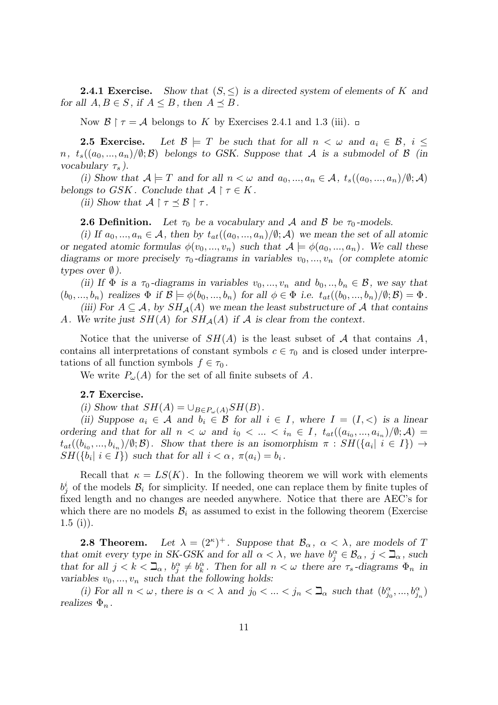**2.4.1 Exercise.** *Show that*  $(S, \leq)$  *is a directed system of elements of K* and *for all*  $A, B \in S$ *, if*  $A \leq B$ *, then*  $A \preceq B$ *.* 

Now  $\mathcal{B} \restriction \tau = \mathcal{A}$  belongs to *K* by Exercises 2.4.1 and 1.3 (iii).  $\Box$ 

**2.5 Exercise.** Let  $\mathcal{B} \models T$  be such that for all  $n < \omega$  and  $a_i \in \mathcal{B}$ ,  $i \leq$ *n*,  $t_s((a_0, ..., a_n)/\emptyset; \mathcal{B})$  *belongs to GSK. Suppose that A is a submodel of*  $\mathcal{B}$  *(in*) *vocabulary τ<sup>s</sup> ).*

*(i)* Show that  $A \models T$  and for all  $n < \omega$  and  $a_0, ..., a_n \in A$ ,  $t_s((a_0, ..., a_n)/\emptyset; A)$ *belongs to GSK*. Conclude that  $A \restriction \tau \in K$ .

*(ii)* Show that  $\mathcal{A} \restriction \tau \leq \mathcal{B} \restriction \tau$ .

**2.6 Definition.** Let  $\tau_0$  be a vocabulary and A and B be  $\tau_0$ -models.

(i) If  $a_0, \ldots, a_n \in \mathcal{A}$ , then by  $t_{at}((a_0, \ldots, a_n)/\emptyset; \mathcal{A})$  we mean the set of all atomic *or negated atomic formulas*  $\phi(v_0, ..., v_n)$  *such that*  $\mathcal{A} \models \phi(a_0, ..., a_n)$ *. We call these diagrams or more precisely*  $\tau_0$ -diagrams in variables  $v_0, \ldots, v_n$  (or complete atomic *types over*  $\emptyset$ *).* 

*(ii)* If  $\Phi$  *is a*  $\tau_0$ -diagrams in variables  $v_0, ..., v_n$  and  $b_0, ..., b_n \in \mathcal{B}$ , we say that  $(b_0, ..., b_n)$  realizes  $\Phi$  if  $\mathcal{B} \models \phi(b_0, ..., b_n)$  for all  $\phi \in \Phi$  i.e.  $t_{at}((b_0, ..., b_n)/\emptyset; \mathcal{B}) = \Phi$ .

*(iii)* For  $A \subseteq \mathcal{A}$ , by  $SH_{\mathcal{A}}(A)$  we mean the least substructure of  $\mathcal{A}$  that contains *A.* We write just  $SH(A)$  for  $SH<sub>A</sub>(A)$  if A is clear from the context.

Notice that the universe of  $SH(A)$  is the least subset of  $A$  that contains  $A$ , contains all interpretations of constant symbols  $c \in \tau_0$  and is closed under interpretations of all function symbols  $f \in \tau_0$ .

We write  $P_\omega(A)$  for the set of all finite subsets of A.

# **2.7 Exercise.**

(i) Show that  $SH(A) = \bigcup_{B \in P_{\omega}(A)} SH(B)$ .

(*ii)* Suppose  $a_i \in \mathcal{A}$  and  $b_i \in \mathcal{B}$  for all  $i \in I$ , where  $I = (I, \leq)$  is a linear *ordering and that for all*  $n < \omega$  *and*  $i_0 < \ldots < i_n \in I$ ,  $t_{at}((a_{i_0},...,a_{i_n})/\emptyset; A) =$  $t_{at}((b_{i_0},...,b_{i_n})/\emptyset;\mathcal{B})$ . Show that there is an isomorphism  $\pi : SH(\lbrace a_i | i \in I \rbrace) \rightarrow$  $SH({b_i | i \in I})$  *such that for all*  $i < \alpha$ ,  $\pi(a_i) = b_i$ .

Recall that  $\kappa = LS(K)$ . In the following theorem we will work with elements  $b^i_j$  of the models  $B_i$  for simplicity. If needed, one can replace them by finite tuples of fixed length and no changes are needed anywhere. Notice that there are AEC's for which there are no models  $\mathcal{B}_i$  as assumed to exist in the following theorem (Exercise  $1.5$  (i)).

**2.8 Theorem.** )<sup>+</sup>. Suppose that  $\mathcal{B}_{\alpha}$ ,  $\alpha < \lambda$ , are models of *T that omit every type in SK-GSK and for all*  $\alpha < \lambda$ , we have  $b_j^{\alpha} \in \mathcal{B}_{\alpha}$ ,  $j < \mathbf{\mathbb{I}}_{\alpha}$ , such *that for all*  $j < k < \mathbb{Z}_{\alpha}$ ,  $b_j^{\alpha} \neq b_k^{\alpha}$ . Then for all  $n < \omega$  there are  $\tau_s$ -diagrams  $\Phi_n$  in *variables*  $v_0, \ldots, v_n$  *such that the following holds:* 

*(i)* For all  $n < \omega$ , there is  $\alpha < \lambda$  and  $j_0 < \ldots < j_n < \mathbb{Z}_\alpha$  such that  $(b_{j_0}^\alpha, ..., b_{j_n}^\alpha)$ *realizes*  $\Phi_n$ .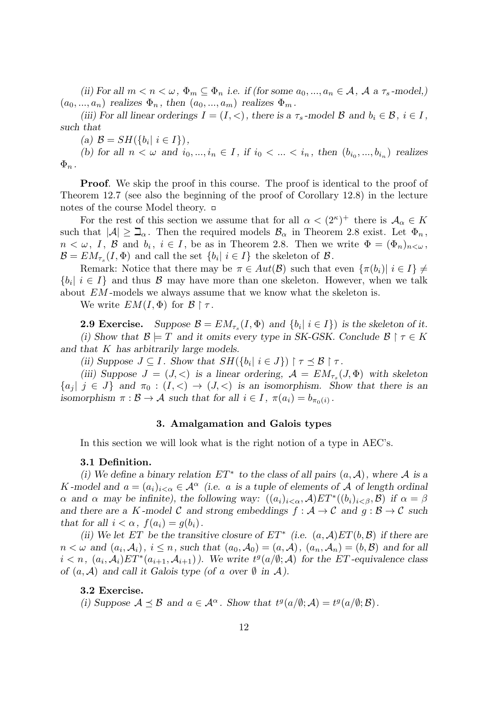*(ii)* For all  $m < n < \omega$ ,  $\Phi_m \subseteq \Phi_n$  *i.e.* if (for some  $a_0, ..., a_n \in \mathcal{A}$ ,  $\mathcal{A}$  a  $\tau_s$ -model,)  $(a_0, ..., a_n)$  realizes  $\Phi_n$ , then  $(a_0, ..., a_m)$  realizes  $\Phi_m$ .

*(iii)* For all linear orderings  $I = (I, <)$ , there is a  $\tau_s$ -model  $\mathcal{B}$  and  $b_i \in \mathcal{B}$ ,  $i \in I$ , *such that*

 $(B = SH({b_i | i \in I}),$ 

*(b)* for all  $n < \omega$  and  $i_0, ..., i_n \in I$ , if  $i_0 < ... < i_n$ , then  $(b_{i_0}, ..., b_{i_n})$  realizes  $\Phi_n$ .

**Proof.** We skip the proof in this course. The proof is identical to the proof of Theorem 12.7 (see also the beginning of the proof of Corollary 12.8) in the lecture notes of the course Model theory.

For the rest of this section we assume that for all  $\alpha < (2^{\kappa})^+$  there is  $\mathcal{A}_{\alpha} \in K$ such that  $|A| \geq \mathbb{Z}_{\alpha}$ . Then the required models  $\mathcal{B}_{\alpha}$  in Theorem 2.8 exist. Let  $\Phi_n$ ,  $n < \omega, I, \mathcal{B}$  and  $b_i, i \in I$ , be as in Theorem 2.8. Then we write  $\Phi = (\Phi_n)_{n<\omega}$ ,  $\mathcal{B} = EM_{\tau_s}(I, \Phi)$  and call the set  $\{b_i | i \in I\}$  the skeleton of  $\mathcal{B}$ .

Remark: Notice that there may be  $\pi \in Aut(\mathcal{B})$  such that even  $\{\pi(b_i) | i \in I\} \neq$  ${b_i | i \in I}$  and thus *B* may have more than one skeleton. However, when we talk about *EM* -models we always assume that we know what the skeleton is.

We write  $EM(I, \Phi)$  for  $\mathcal{B} \upharpoonright \tau$ .

**2.9 Exercise.** Suppose  $\mathcal{B} = EM_{\tau_s}(I, \Phi)$  and  $\{b_i | i \in I\}$  is the skeleton of it. *(i)* Show that  $\mathcal{B} \models T$  and it omits every type in SK-GSK. Conclude  $\mathcal{B} \restriction \tau \in K$ *and that K has arbitrarily large models.*

*(ii)* Suppose  $J \subseteq I$ . Show that  $SH({b_i | i \in J}) \upharpoonright \tau \preceq B \upharpoonright \tau$ .

(*iii*) Suppose  $J = (J, \leq)$  *is a linear ordering,*  $\mathcal{A} = EM_{\tau_s}(J, \Phi)$  with skeleton  ${a_j | j \in J}$  and  $\pi_0 : (I, <) \to (J, <)$  is an isomorphism. Show that there is an *isomorphism*  $\pi : \mathcal{B} \to \mathcal{A}$  *such that for all*  $i \in I$ ,  $\pi(a_i) = b_{\pi_0(i)}$ .

# **3. Amalgamation and Galois types**

In this section we will look what is the right notion of a type in AEC's.

## **3.1 Definition.**

*(i)* We define a binary relation  $ET^*$  to the class of all pairs  $(a, \mathcal{A})$ , where  $\mathcal{A}$  is a *K* -model and  $a = (a_i)_{i < \alpha} \in A^\alpha$  (i.e. *a* is a tuple of elements of A of length ordinal *α* and *α* may be infinite), the following way:  $((a_i)_{i < \alpha}, \mathcal{A})ET^*((b_i)_{i < \beta}, \mathcal{B})$  if  $\alpha = \beta$ *and there are a K -model C and strong embeddings*  $f : A \rightarrow C$  *and*  $g : B \rightarrow C$  *such that for all*  $i < \alpha$ ,  $f(a_i) = g(b_i)$ .

*(ii)* We let *ET* be the transitive closure of  $ET^*$  (i.e.  $(a, \mathcal{A})ET(b, \mathcal{B})$  if there are  $n < \omega$  and  $(a_i, \mathcal{A}_i)$ ,  $i \leq n$ , such that  $(a_0, \mathcal{A}_0) = (a, \mathcal{A})$ ,  $(a_n, \mathcal{A}_n) = (b, \mathcal{B})$  and for all  $i < n$ ,  $(a_i, \mathcal{A}_i)ET^*(a_{i+1}, \mathcal{A}_{i+1})$ ). We write  $t^g(a/\emptyset; \mathcal{A})$  for the ET-equivalence class *of*  $(a, \mathcal{A})$  *and call it Galois type (of a over*  $\emptyset$  *in*  $\mathcal{A}$ *).* 

# **3.2 Exercise.**

(i) Suppose  $A \preceq B$  and  $a \in A^\alpha$ . Show that  $t^g(a/\emptyset; A) = t^g(a/\emptyset; B)$ .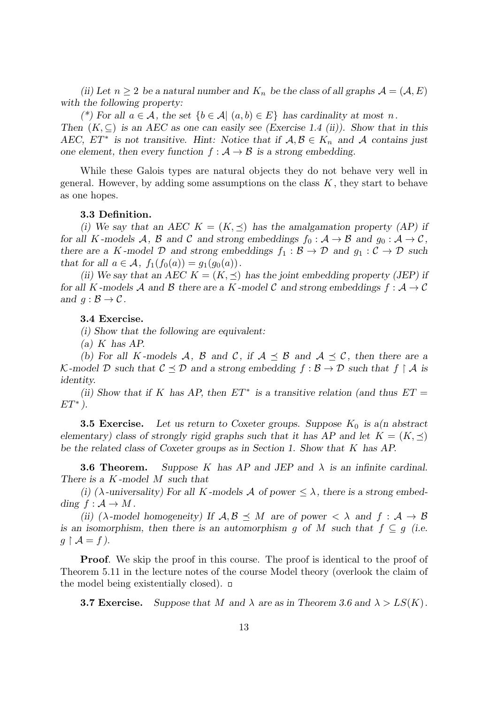*(ii)* Let  $n \geq 2$  *be a natural number and*  $K_n$  *be the class of all graphs*  $\mathcal{A} = (\mathcal{A}, E)$ *with the following property:*

*(\*)* For all  $a \in \mathcal{A}$ , the set  $\{b \in \mathcal{A} | (a, b) \in E\}$  has cardinality at most *n*. *Then*  $(K, \subseteq)$  *is an AEC as one can easily see (Exercise 1.4 (ii)). Show that in this AEC,*  $ET^*$  is not transitive. Hint: Notice that if  $A, B \in K_n$  and A contains just *one element, then every function*  $f : A \rightarrow B$  *is a strong embedding.* 

While these Galois types are natural objects they do not behave very well in general. However, by adding some assumptions on the class *K* , they start to behave as one hopes.

# **3.3 Definition.**

*(i)* We say that an AEC  $K = (K, \preceq)$  has the amalgamation property (AP) if *for all K -models*  $A$ *,*  $B$  *and*  $C$  *and strong embeddings*  $f_0: A \rightarrow B$  *and*  $g_0: A \rightarrow C$ *, there are a K*-model  $D$  and strong embeddings  $f_1 : B \to D$  and  $g_1 : C \to D$  such *that for all*  $a \in \mathcal{A}$ ,  $f_1(f_0(a)) = g_1(g_0(a))$ .

*(ii)* We say that an AEC  $K = (K, \preceq)$  has the joint embedding property (JEP) if *for all K -models*  $\mathcal A$  *and*  $\mathcal B$  *there are a*  $K$  *-model*  $\mathcal C$  *and strong embeddings*  $f : \mathcal A \to \mathcal C$ *and*  $q : \mathcal{B} \to \mathcal{C}$ *.* 

## **3.4 Exercise.**

*(i) Show that the following are equivalent:*

*(a) K has AP.*

*(b)* For all *K*-models *A*, *B* and *C*, if  $A \preceq B$  and  $A \preceq C$ , then there are a *K*-model *D* such that  $C \leq D$  and a strong embedding  $f : B \to D$  such that  $f \restriction A$  is *identity.*

*(ii)* Show that if *K* has AP, then  $ET^*$  is a transitive relation (and thus  $ET =$ *ET*<sup>\*</sup>).

**3.5 Exercise.** Let us return to Coxeter groups. Suppose  $K_0$  is a(n abstract) *elementary) class of strongly rigid graphs such that it has AP and let*  $K = (K, \preceq)$ *be the related class of Coxeter groups as in Section 1. Show that K has AP.*

**3.6 Theorem.** *Suppose K has AP and JEP and λ is an infinite cardinal. There is a K -model M such that*

*(i)* ( $\lambda$ -universality) For all *K*-models *A* of power  $\leq \lambda$ , there is a strong embed*ding*  $f : \mathcal{A} \to M$ .

*(ii)*  $(\lambda$ -model homogeneity) If  $\mathcal{A}, \mathcal{B} \preceq M$  are of power  $\langle \lambda \rangle$  and  $f : \mathcal{A} \to \mathcal{B}$ *is an isomorphism, then there is an automorphism g of M* such that  $f \subseteq g$  (i.e.  $g \upharpoonright A = f$ .

**Proof.** We skip the proof in this course. The proof is identical to the proof of Theorem 5.11 in the lecture notes of the course Model theory (overlook the claim of the model being existentially closed).  $\Box$ 

**3.7 Exercise.** Suppose that M and  $\lambda$  are as in Theorem 3.6 and  $\lambda > LS(K)$ .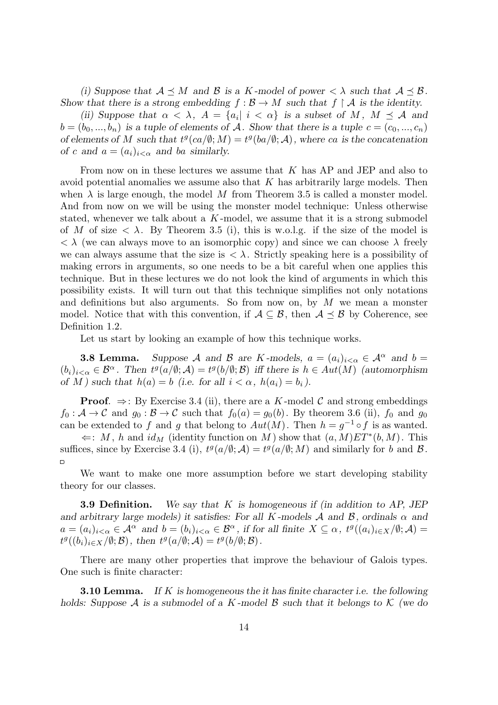*(i)* Suppose that  $A \prec M$  and  $B$  is a *K*-model of power  $\langle \lambda \rangle$  such that  $A \prec B$ . *Show that there is a strong embedding*  $f : \mathcal{B} \to M$  *such that*  $f \restriction \mathcal{A}$  *is the identity.* 

*(ii)* Suppose that  $\alpha < \lambda$ ,  $A = \{a_i | i < \alpha\}$  is a subset of M,  $M \preceq A$  and  $b = (b_0, ..., b_n)$  *is a tuple of elements of A. Show that there is a tuple*  $c = (c_0, ..., c_n)$ *of elements of M* such that  $t^g$ ( $ca/\emptyset$ ; *M*) =  $t^g$ ( $ba/\emptyset$ ; *A*), where *ca* is the concatenation *of c* and  $a = (a_i)_{i < \alpha}$  and *ba similarly.* 

From now on in these lectures we assume that *K* has AP and JEP and also to avoid potential anomalies we assume also that *K* has arbitrarily large models. Then when  $\lambda$  is large enough, the model M from Theorem 3.5 is called a monster model. And from now on we will be using the monster model technique: Unless otherwise stated, whenever we talk about a *K* -model, we assume that it is a strong submodel of *M* of size  $\langle \lambda, \rangle$ . By Theorem 3.5 (i), this is w.o.l.g. if the size of the model is *< λ* (we can always move to an isomorphic copy) and since we can choose *λ* freely we can always assume that the size is  $\langle \lambda \rangle$ . Strictly speaking here is a possibility of making errors in arguments, so one needs to be a bit careful when one applies this technique. But in these lectures we do not look the kind of arguments in which this possibility exists. It will turn out that this technique simplifies not only notations and definitions but also arguments. So from now on, by *M* we mean a monster model. Notice that with this convention, if  $A \subseteq B$ , then  $A \preceq B$  by Coherence, see Definition 1.2.

Let us start by looking an example of how this technique works.

**3.8 Lemma.** Suppose A and B are K-models,  $a = (a_i)_{i < \alpha} \in A^\alpha$  and  $b =$  $(b_i)_{i<\alpha}\in\mathcal{B}^{\alpha}$ . Then  $t^g(a/\emptyset;\mathcal{A})=t^g(b/\emptyset;\mathcal{B})$  iff there is  $h\in Aut(M)$  (automorphism *of M )* such that  $h(a) = b$  (i.e. for all  $i < \alpha$ ,  $h(a_i) = b_i$ ).

**Proof.**  $\Rightarrow$ : By Exercise 3.4 (ii), there are a *K*-model *C* and strong embeddings  $f_0: \mathcal{A} \to \mathcal{C}$  and  $g_0: \mathcal{B} \to \mathcal{C}$  such that  $f_0(a) = g_0(b)$ . By theorem 3.6 (ii),  $f_0$  and  $g_0$ can be extended to *f* and *g* that belong to  $Aut(M)$ . Then  $h = g^{-1} \circ f$  is as wanted.

 $\Leftarrow$ : *M*, *h* and *id<sub>M</sub>* (identity function on *M*) show that  $(a, M)ET^*(b, M)$ . This suffices, since by Exercise 3.4 (i),  $t^g(a/\emptyset; \mathcal{A}) = t^g(a/\emptyset; M)$  and similarly for *b* and *B*.  $\Box$ 

We want to make one more assumption before we start developing stability theory for our classes.

**3.9 Definition.** *We say that K is homogeneous if (in addition to AP, JEP and arbitrary large models) it satisfies: For all*  $K$ *-models*  $A$  *and*  $B$ *, ordinals*  $\alpha$  *and*  $a = (a_i)_{i < \alpha} \in \mathcal{A}^{\alpha}$  and  $b = (b_i)_{i < \alpha} \in \mathcal{B}^{\alpha}$ , if for all finite  $X \subseteq \alpha$ ,  $t^g((a_i)_{i \in X}/\emptyset; \mathcal{A}) =$  $t^g((b_i)_{i\in X}/\emptyset; \mathcal{B})$ , then  $t^g(a/\emptyset; \mathcal{A}) = t^g(b/\emptyset; \mathcal{B})$ .

There are many other properties that improve the behaviour of Galois types. One such is finite character:

**3.10 Lemma.** *If K is homogeneous the it has finite character i.e. the following holds: Suppose A is a submodel of a K -model B such that it belongs to K (we do*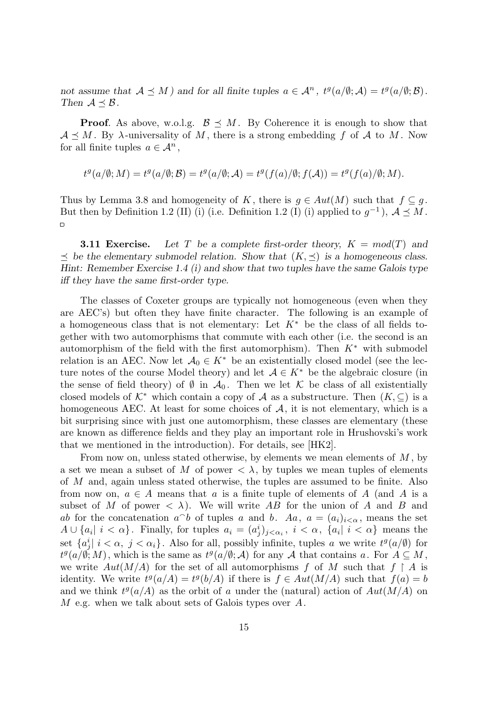*not* assume that  $A \preceq M$  *)* and for all finite tuples  $a \in A^n$ ,  $t^g(a/\emptyset; A) = t^g(a/\emptyset; B)$ . *Then*  $A \leq B$ *.* 

**Proof.** As above, w.o.l.g.  $\mathcal{B} \leq M$ . By Coherence it is enough to show that  $A \prec M$ . By  $\lambda$ -universality of M, there is a strong embedding f of A to M. Now for all finite tuples  $a \in \mathcal{A}^n$ ,

$$
t^g(a/\emptyset;M) = t^g(a/\emptyset;\mathcal{B}) = t^g(a/\emptyset;\mathcal{A}) = t^g(f(a)/\emptyset;f(\mathcal{A})) = t^g(f(a)/\emptyset;M).
$$

Thus by Lemma 3.8 and homogeneity of *K*, there is  $g \in Aut(M)$  such that  $f \subseteq g$ . But then by Definition 1.2 (II) (i) (i.e. Definition 1.2 (I) (i) applied to  $g^{-1}$ ),  $A \preceq M$ .  $\Box$ 

**3.11 Exercise.** Let T be a complete first-order theory,  $K = mod(T)$  and *≼ be the elementary submodel relation. Show that* (*K, ≼*) *is a homogeneous class. Hint: Remember Exercise 1.4 (i) and show that two tuples have the same Galois type iff they have the same first-order type.*

The classes of Coxeter groups are typically not homogeneous (even when they are AEC's) but often they have finite character. The following is an example of a homogeneous class that is not elementary: Let  $K^*$  be the class of all fields together with two automorphisms that commute with each other (i.e. the second is an automorphism of the field with the first automorphism). Then *K<sup>∗</sup>* with submodel relation is an AEC. Now let  $A_0 \in K^*$  be an existentially closed model (see the lecture notes of the course Model theory) and let  $A \in K^*$  be the algebraic closure (in the sense of field theory) of  $\emptyset$  in  $\mathcal{A}_0$ . Then we let  $\mathcal K$  be class of all existentially closed models of  $K^*$  which contain a copy of  $\mathcal A$  as a substructure. Then  $(K, \subseteq)$  is a homogeneous AEC. At least for some choices of  $A$ , it is not elementary, which is a bit surprising since with just one automorphism, these classes are elementary (these are known as difference fields and they play an important role in Hrushovski's work that we mentioned in the introduction). For details, see [HK2].

From now on, unless stated otherwise, by elements we mean elements of *M* , by a set we mean a subset of M of power  $\langle \lambda, \rangle$  by tuples we mean tuples of elements of *M* and, again unless stated otherwise, the tuples are assumed to be finite. Also from now on,  $a \in A$  means that a is a finite tuple of elements of A (and A is a subset of *M* of power  $\langle \lambda \rangle$ . We will write AB for the union of A and B and *ab* for the concatenation  $a^b$  of tuples *a* and *b*. *Aa*,  $a = (a_i)_{i < \alpha}$ , means the set  $A \cup \{a_i | i < \alpha\}$ . Finally, for tuples  $a_i = (a_j^i)_{j < \alpha_i}$ ,  $i < \alpha$ ,  $\{a_i | i < \alpha\}$  means the set  ${a_j^i \mid i < \alpha, j < \alpha_i}$ . Also for all, possibly infinite, tuples *a* we write  $t^g(a/\emptyset)$  for  $t^g(a/\emptyset; M)$ , which is the same as  $t^g(a/\emptyset; A)$  for any *A* that contains *a*. For  $A \subseteq M$ , we write  $Aut(M/A)$  for the set of all automorphisms f of M such that  $f \upharpoonright A$  is identity. We write  $t^g(a/A) = t^g(b/A)$  if there is  $f \in Aut(M/A)$  such that  $f(a) = b$ and we think  $t^g(a/A)$  as the orbit of *a* under the (natural) action of  $Aut(M/A)$  on *M* e.g. when we talk about sets of Galois types over *A*.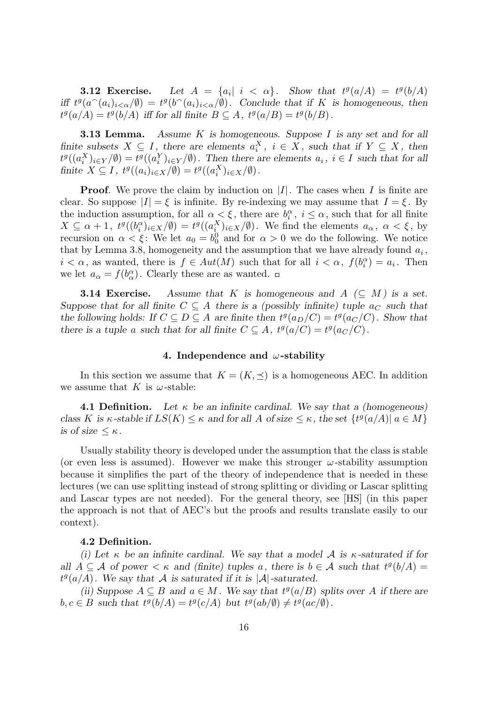**3.12 Exercise.** Let  $A = \{a_i | i < \alpha\}$ . Show that  $t^g(a/A) = t^g(b/A)$ *iff*  $t^g(a^{\frown}(a_i)_{i<\alpha}/\emptyset) = t^g(b^{\frown}(a_i)_{i<\alpha}/\emptyset)$ . Conclude that if K is homogeneous, then  $t^g(a/A) = t^g(b/A)$  *iff for all finite*  $B \subseteq A$ ,  $t^g(a/B) = t^g(b/B)$ .

**3.13 Lemma.** *Assume K is homogeneous. Suppose I is any set and for all finite subsets*  $X \subseteq I$ , there are elements  $a_i^X$ ,  $i \in X$ , such that if  $Y \subseteq X$ , then  $t^g((a_i^X)_{i\in Y}/\emptyset) = t^g((a_i^Y)_{i\in Y}/\emptyset)$ . Then there are elements  $a_i, i \in I$  such that for all finite  $X \subseteq I$ ,  $t^g((a_i)_{i \in X}/\emptyset) = t^g((a_i^X)_{i \in X}/\emptyset)$ .

**Proof**. We prove the claim by induction on *|I|*. The cases when *I* is finite are clear. So suppose  $|I| = \xi$  is infinite. By re-indexing we may assume that  $I = \xi$ . By the induction assumption, for all  $\alpha \leq \xi$ , there are  $b_i^{\alpha}$ ,  $i \leq \alpha$ , such that for all finite  $X \subseteq \alpha + 1$ ,  $t^g((b_i^{\alpha})_{i \in X}/\emptyset) = t^g((a_i^X)_{i \in X}/\emptyset)$ . We find the elements  $a_{\alpha}, \alpha < \xi$ , by recursion on  $\alpha < \xi$ : We let  $a_0 = b_0^0$  and for  $\alpha > 0$  we do the following. We notice that by Lemma 3.8, homogeneity and the assumption that we have already found *a<sup>i</sup>* , *i*  $\langle \alpha, \alpha \rangle$  as wanted, there is  $f \in Aut(M)$  such that for all  $i \langle \alpha, f(b_i^{\alpha}) \rangle = a_i$ . Then we let  $a_{\alpha} = f(b_{\alpha}^{\alpha})$ . Clearly these are as wanted.

**3.14 Exercise.** Assume that K is homogeneous and  $A \subset M$  is a set. *Suppose that for all finite*  $C \subseteq A$  *there is a (possibly infinite) tuple*  $a_C$  *such that the following holds: If*  $C \subseteq D \subseteq A$  *are finite then*  $t^g(a_D/C) = t^g(a_C/C)$ *. Show that there is a tuple a such that for all finite*  $C \subseteq A$ *,*  $t^g(a/C) = t^g(a_C/C)$ *.* 

#### **4. Independence and** *ω***-stability**

In this section we assume that  $K = (K, \preceq)$  is a homogeneous AEC. In addition we assume that *K* is  $\omega$ -stable:

**4.1 Definition.** Let  $\kappa$  be an infinite cardinal. We say that a (homogeneous) class K is  $\kappa$ -stable if  $LS(K) \leq \kappa$  and for all A of size  $\leq \kappa$ , the set  $\{t^g(a/A) | a \in M\}$ *is of size*  $\leq \kappa$ *.* 

Usually stability theory is developed under the assumption that the class is stable (or even less is assumed). However we make this stronger *ω*-stability assumption because it simplifies the part of the theory of independence that is needed in these lectures (we can use splitting instead of strong splitting or dividing or Lascar splitting and Lascar types are not needed). For the general theory, see [HS] (in this paper the approach is not that of AEC's but the proofs and results translate easily to our context).

#### **4.2 Definition.**

*(i)* Let  $\kappa$  be an infinite cardinal. We say that a model A is  $\kappa$ -saturated if for *all*  $A \subseteq \mathcal{A}$  *of power*  $\lt \kappa$  *and (finite) tuples a, there is*  $b \in \mathcal{A}$  *such that*  $t^g(b/A) =$  $t^g(a/A)$ . We say that A is saturated if it is  $|A|$ -saturated.

*(ii)* Suppose *A* ⊆ *B* and *a* ∈ *M*. We say that  $t^g(a/B)$  splits over *A* if there are  $b, c \in B$  such that  $t^g(b/A) = t^g(c/A)$  but  $t^g(ab/\emptyset) \neq t^g(ac/\emptyset)$ .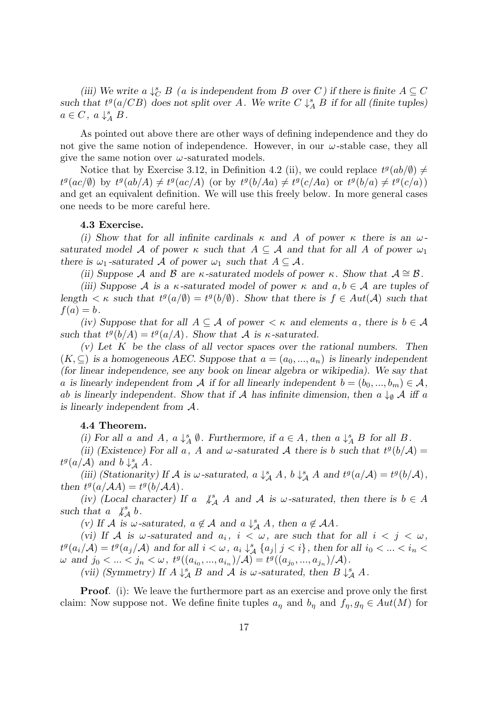*(iii)* We write  $a \downarrow^s_C B$  *(a is independent from B over C) if there is finite*  $A \subseteq C$ such that  $t^g(a/CB)$  does not split over *A*. We write  $C \downarrow_A^s B$  if for all (finite tuples)  $a \in C$ ,  $a \downarrow_A^s B$ .

As pointed out above there are other ways of defining independence and they do not give the same notion of independence. However, in our  $\omega$ -stable case, they all give the same notion over  $\omega$ -saturated models.

Notice that by Exercise 3.12, in Definition 4.2 (ii), we could replace  $t^g(ab/\emptyset) \neq$  $t^g(ac/\emptyset)$  by  $t^g(ab/A) \neq t^g(ac/A)$  (or by  $t^g(b/Aa) \neq t^g(c/Aa)$  or  $t^g(b/a) \neq t^g(c/a)$ ) and get an equivalent definition. We will use this freely below. In more general cases one needs to be more careful here.

## **4.3 Exercise.**

*(i)* Show that for all infinite cardinals  $\kappa$  and A of power  $\kappa$  there is an  $\omega$ *saturated model A of power*  $\kappa$  *such that*  $A \subseteq \mathcal{A}$  *and that for all*  $A$  *of power*  $\omega_1$ *there is*  $\omega_1$ -saturated A of power  $\omega_1$  such that  $A \subseteq \mathcal{A}$ .

*(ii)* Suppose *A* and *B* are *κ*-saturated models of power *κ.* Show that  $A \cong B$ .

*(iii)* Suppose A is a  $\kappa$ -saturated model of power  $\kappa$  and  $a, b \in A$  are tuples of *length*  $\lt$  *κ such that*  $t^g(a/\emptyset) = t^g(b/\emptyset)$ *. Show that there is*  $f \in Aut(\mathcal{A})$  *such that*  $f(a) = b$ .

*(iv)* Suppose that for all  $A \subseteq \mathcal{A}$  of power  $\lt \kappa$  and elements a, there is  $b \in \mathcal{A}$ such that  $t^g(b/A) = t^g(a/A)$ . Show that *A* is *κ*-saturated.

*(v) Let K be the class of all vector spaces over the rational numbers. Then*  $(K, \subseteq)$  *is a homogeneous AEC. Suppose that*  $a = (a_0, ..., a_n)$  *is linearly independent (for linear independence, see any book on linear algebra or wikipedia). We say that a* is linearly independent from A if for all linearly independent  $b = (b_0, ..., b_m) \in A$ , *ab* is linearly independent. Show that if A has infinite dimension, then  $a \downarrow_{\emptyset} A$  iff  $a$ *is linearly independent from A.*

# **4.4 Theorem.**

(i) For all a and A,  $a \downarrow_A^s \emptyset$ . Furthermore, if  $a \in A$ , then  $a \downarrow_A^s B$  for all B.

*(ii)* (Existence) For all a, A and  $\omega$ -saturated A there is b such that  $t^g(b/\mathcal{A}) =$  $t^g(a/A)$  and  $b \downarrow^s_A A$ .

(iii) (Stationarity) If A is  $\omega$ -saturated,  $a \downarrow^s_{\mathcal{A}} A$ ,  $b \downarrow^s_{\mathcal{A}} A$  and  $t^g(a/\mathcal{A}) = t^g(b/\mathcal{A})$ , *then*  $t^g(a/AA) = t^g(b/AA)$ .

*(iv) (Local character)* If *a*  $\mathcal{L}_{\mathcal{A}}^s$  *A* and *A* is *w*-saturated, then there is  $b \in A$ such that  $a \not\downarrow^s_A b$ .

*(v)* If *A* is  $\omega$ -saturated,  $a \notin \mathcal{A}$  and  $a \downarrow^s_{\mathcal{A}} A$ , then  $a \notin \mathcal{A}A$ .

*(vi)* If A is  $\omega$ -saturated and  $a_i$ ,  $i < \omega$ , are such that for all  $i < j < \omega$ ,  $t^g(a_i/A) = t^g(a_j/A)$  and for all  $i < \omega$ ,  $a_i \downarrow_A^s \{a_j | j < i\}$ , then for all  $i_0 < \ldots < i_n <$  $\omega \text{ and } j_0 < ... < j_n < \omega, t^g((a_{i_0}, ..., a_{i_n})/\mathcal{A}) = t^g((a_{j_0}, ..., a_{j_n})/\mathcal{A}).$ 

*(vii)* (Symmetry) If  $A \downarrow^s_A B$  and  $A$  is  $\omega$ -saturated, then  $B \downarrow^s_A A$ .

**Proof.** (i): We leave the furthermore part as an exercise and prove only the first claim: Now suppose not. We define finite tuples  $a_{\eta}$  and  $b_{\eta}$  and  $f_{\eta}, g_{\eta} \in Aut(M)$  for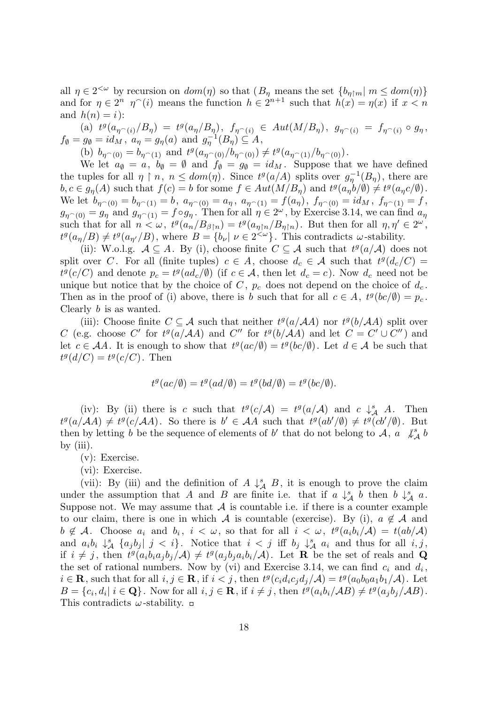all  $\eta \in 2^{<\omega}$  by recursion on  $dom(\eta)$  so that  $(B_{\eta})$  means the set  $\{b_{\eta}\}_{m}$   $m \leq dom(\eta)$ and for  $\eta \in 2^n$   $\eta$ <sup> $\hat{\ }$ </sup>(*i*) means the function  $h \in 2^{n+1}$  such that  $h(x) = \eta(x)$  if  $x < n$ and  $h(n) = i$ :

(a)  $t^g(a_{\eta \cap (i)}/B_{\eta}) = t^g(a_{\eta}/B_{\eta}), \ f_{\eta \cap (i)} \in Aut(M/B_{\eta}), \ g_{\eta \cap (i)} = f_{\eta \cap (i)} \circ g_{\eta},$  $f_{\emptyset} = g_{\emptyset} = id_M, \ a_{\eta} = g_{\eta}(a) \text{ and } g_{\eta}^{-1}(B_{\eta}) \subseteq A,$ 

(b)  $b_{\eta \cap (0)} = b_{\eta \cap (1)}$  and  $t^g(a_{\eta \cap (0)}/b_{\eta \cap (0)}) \neq t^g(a_{\eta \cap (1)}/b_{\eta \cap (0)})$ .

We let  $a_{\emptyset} = a$ ,  $b_{\emptyset} = \emptyset$  and  $f_{\emptyset} = g_{\emptyset} = id_M$ . Suppose that we have defined the tuples for all  $\eta \restriction n, n \leq dom(\eta)$ . Since  $t^g(a/A)$  splits over  $g_{\eta}^{-1}(B_{\eta})$ , there are  $b, c \in g_{\eta}(A)$  such that  $f(c) = b$  for some  $f \in Aut(M/B_{\eta})$  and  $t^g(a_{\eta}b/\emptyset) \neq t^g(a_{\eta}c/\emptyset)$ . We let  $b_{\eta^{\frown}(0)} = b_{\eta^{\frown}(1)} = b$ ,  $a_{\eta^{\frown}(0)} = a_{\eta}$ ,  $a_{\eta^{\frown}(1)} = f(a_{\eta})$ ,  $f_{\eta^{\frown}(0)} = id_M$ ,  $f_{\eta^{\frown}(1)} = f$ ,  $g_{\eta}(0) = g_{\eta}$  and  $g_{\eta}(1) = f \circ g_{\eta}$ . Then for all  $\eta \in 2^{\omega}$ , by Exercise 3.14, we can find  $a_{\eta}$ such that for all  $n < \omega$ ,  $t^g(a_n/B_{\beta\upharpoonright n}) = t^g(a_{\eta\upharpoonright n}/B_{\eta\upharpoonright n})$ . But then for all  $\eta, \eta' \in 2^{\omega}$ ,  $t^g(a_\eta/B)\neq t^g(a_{\eta'}/B)$ , where  $B=\{b_\nu|\nu\in 2^{<\omega}\}\$ . This contradicts  $\omega$ -stability.

(ii): W.o.l.g.  $A \subseteq A$ . By (i), choose finite  $C \subseteq A$  such that  $t^g(a/A)$  does not split over *C*. For all (finite tuples)  $c \in A$ , choose  $d_c \in A$  such that  $t^g(d_c/C)$  $t^g(c/C)$  and denote  $p_c = t^g(ad_c/\emptyset)$  (if  $c \in \mathcal{A}$ , then let  $d_c = c$ ). Now  $d_c$  need not be unique but notice that by the choice of  $C$ ,  $p_c$  does not depend on the choice of  $d_c$ . Then as in the proof of (i) above, there is *b* such that for all  $c \in A$ ,  $t^g(bc/\emptyset) = p_c$ . Clearly *b* is as wanted.

(iii): Choose finite  $C \subseteq \mathcal{A}$  such that neither  $t^g(a/\mathcal{A}A)$  nor  $t^g(b/\mathcal{A}A)$  split over C (e.g. choose C' for  $t^g(a/A)$  and C'' for  $t^g(b/A)$  and let  $C = C' \cup C''$ ) and let  $c \in \mathcal{A}A$ . It is enough to show that  $t^g(ac/\emptyset) = t^g(bc/\emptyset)$ . Let  $d \in \mathcal{A}$  be such that  $t^g(d/C) = t^g(c/C)$ . Then

$$
t^g(ac/\emptyset) = t^g(ad/\emptyset) = t^g(bd/\emptyset) = t^g(bc/\emptyset).
$$

(iv): By (ii) there is *c* such that  $t^g(c/A) = t^g(a/A)$  and  $c \downarrow_A^s A$ . Then  $t^g(a/AA) \neq t^g(c/AA)$ . So there is  $b' \in AA$  such that  $t^g(ab'/\emptyset) \neq t^g(ab'/\emptyset)$ . But then by letting *b* be the sequence of elements of *b'* that do not belong to *A*, *a*  $\mathcal{L}_{\mathcal{A}}^s$  *b* by (iii).

(v): Exercise.

(vi): Exercise.

(vii): By (iii) and the definition of  $A \downarrow^s_A B$ , it is enough to prove the claim under the assumption that *A* and *B* are finite i.e. that if  $a \downarrow^s_A b$  then  $b \downarrow^s_A a$ . Suppose not. We may assume that  $A$  is countable i.e. if there is a counter example to our claim, there is one in which *A* is countable (exercise). By (i),  $a \notin A$  and  $b \notin \mathcal{A}$ . Choose  $a_i$  and  $b_i$ ,  $i < \omega$ , so that for all  $i < \omega$ ,  $t^g(a_ib_i/\mathcal{A}) = t(ab/\mathcal{A})$ and  $a_i b_i \downarrow_A^s \{a_j b_j | j \lt i\}$ . Notice that  $i \lt j$  iff  $b_j \downarrow_A^s a_i$  and thus for all  $i, j$ , if  $i \neq j$ , then  $t^g(a_i b_i a_j b_j/A) \neq t^g(a_j b_j a_i b_i/A)$ . Let **R** be the set of reals and **Q** the set of rational numbers. Now by (vi) and Exercise 3.14, we can find  $c_i$  and  $d_i$ ,  $i \in \mathbf{R}$ , such that for all  $i, j \in \mathbf{R}$ , if  $i < j$ , then  $t^g(c_i d_i c_j d_j / \mathcal{A}) = t^g(a_0 b_0 a_1 b_1 / \mathcal{A})$ . Let  $B = \{c_i, d_i | i \in \mathbf{Q}\}\.$  Now for all  $i, j \in \mathbf{R}$ , if  $i \neq j$ , then  $t^g(a_i b_i / AB) \neq t^g(a_j b_j / AB)$ . This contradicts *ω*-stability.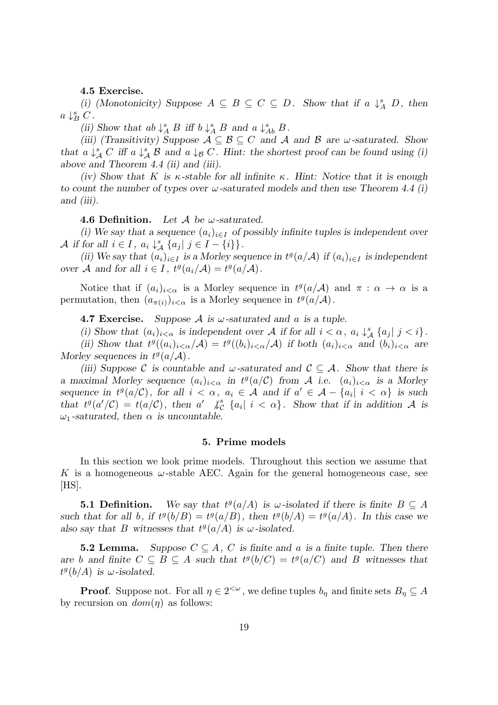## **4.5 Exercise.**

*(i)* (Monotonicity) Suppose  $A \subseteq B \subseteq C \subseteq D$ . Show that if  $a \downarrow_A^s D$ , then  $a \downarrow_B^s C$ .

*(ii)* Show that  $ab \downarrow^s_A B$  iff  $b \downarrow^s_A B$  and  $a \downarrow^s_{Ab} B$ .

*(iii)* (Transitivity) Suppose  $A \subseteq B \subseteq C$  and  $A$  and  $B$  are  $\omega$ -saturated. Show *that*  $a \downarrow^s_A C$  *iff*  $a \downarrow^s_A \mathcal{B}$  *and*  $a \downarrow^s_B C$ *. Hint: the shortest proof can be found using (i) above and Theorem 4.4 (ii) and (iii).*

*(iv)* Show that *K* is  $\kappa$ -stable for all infinite  $\kappa$ . Hint: Notice that it is enough *to count the number of types over ω-saturated models and then use Theorem 4.4 (i) and (iii).*

**4.6 Definition.** *Let A be ω-saturated.*

*(i)* We say that a sequence  $(a_i)_{i \in I}$  of possibly infinite tuples is independent over *A* if for all  $i \in I$ ,  $a_i \downarrow^s_A \{a_j | j \in I - \{i\}\}\.$ 

*(ii)* We say that  $(a_i)_{i \in I}$  is a Morley sequence in  $t^g(a/\mathcal{A})$  if  $(a_i)_{i \in I}$  is independent *over A* and for all  $i \in I$ ,  $t^g(a_i/\mathcal{A}) = t^g(a/\mathcal{A})$ .

Notice that if  $(a_i)_{i < \alpha}$  is a Morley sequence in  $t^g(a/\mathcal{A})$  and  $\pi : \alpha \to \alpha$  is a permutation, then  $(a_{\pi(i)})_{i < \alpha}$  is a Morley sequence in  $t^g(a/\mathcal{A})$ .

**4.7 Exercise.** *Suppose A is ω-saturated and a is a tuple.*

(i) Show that  $(a_i)_{i < \alpha}$  is independent over A if for all  $i < \alpha$ ,  $a_i \downarrow_A^s \{a_j | j < i\}$ . (ii) Show that  $t^g((a_i)_{i<\alpha}/\mathcal{A})=t^g((b_i)_{i<\alpha}/\mathcal{A})$  if both  $(a_i)_{i<\alpha}$  and  $(b_i)_{i<\alpha}$  are *Morley sequences in*  $t^g(a/A)$ *.* 

*(iii)* Suppose C is countable and  $\omega$ -saturated and  $\mathcal{C} \subseteq \mathcal{A}$ *. Show that there is a* maximal Morley sequence  $(a_i)_{i < \alpha}$  in  $t^g(a/C)$  from A i.e.  $(a_i)_{i < \alpha}$  is a Morley sequence in  $t^g(a/\mathcal{C})$ , for all  $i < \alpha$ ,  $a_i \in \mathcal{A}$  and if  $a' \in \mathcal{A} - \{a_i | i < \alpha\}$  is such that  $t^g(a'/\mathcal{C}) = t(a/\mathcal{C})$ , then  $a' \neq_{\mathcal{C}}^s \{a_i | i < \alpha\}$ . Show that if in addition A is  $\omega_1$ -saturated, then  $\alpha$  is uncountable.

#### **5. Prime models**

In this section we look prime models. Throughout this section we assume that *K* is a homogeneous  $\omega$ -stable AEC. Again for the general homogeneous case, see  $[HS].$ 

**5.1 Definition.** We say that  $t^g(a/A)$  is  $\omega$ -isolated if there is finite  $B \subseteq A$ such that for all *b*, if  $t^g(b/B) = t^g(a/B)$ , then  $t^g(b/A) = t^g(a/A)$ . In this case we also say that *B* witnesses that  $t^g(a/A)$  is  $\omega$ -isolated.

**5.2 Lemma.** *Suppose*  $C \subseteq A$ , *C is finite and a is a finite tuple. Then there are b* and finite  $C \subseteq B \subseteq A$  such that  $t^g(b/C) = t^g(a/C)$  and B witnesses that  $t^g(b/A)$  *is ω*-*isolated.* 

**Proof**. Suppose not. For all  $\eta \in 2^{<\omega}$ , we define tuples  $b_{\eta}$  and finite sets  $B_{\eta} \subseteq A$ by recursion on  $dom(\eta)$  as follows: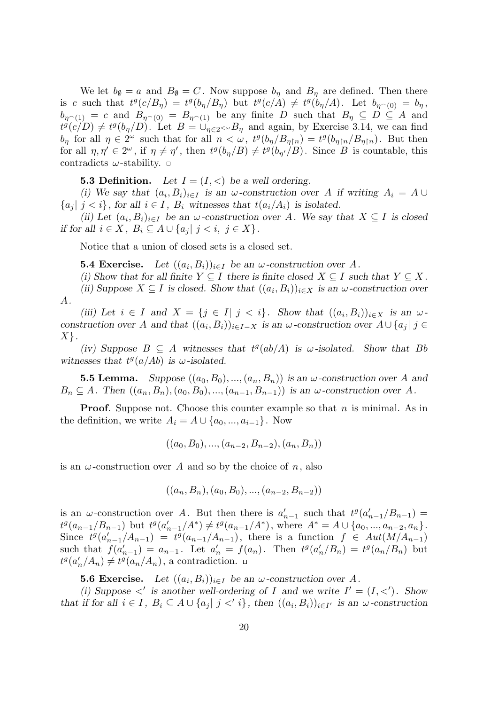We let  $b_{\emptyset} = a$  and  $B_{\emptyset} = C$ . Now suppose  $b_{\eta}$  and  $B_{\eta}$  are defined. Then there is c such that  $t^g(c/B_\eta) = t^g(b_\eta/B_\eta)$  but  $t^g(c/A) \neq t^g(b_\eta/A)$ . Let  $b_{\eta^{\frown}(0)} = b_\eta$ ,  $b_{\eta(1)} = c$  and  $B_{\eta(0)} = B_{\eta(1)}$  be any finite *D* such that  $B_{\eta} \subseteq D \subseteq A$  and  $t^g(c/D) \neq t^g(b_\eta/D)$ . Let  $B = \bigcup_{\eta \in 2 \le \omega} B_\eta$  and again, by Exercise 3.14, we can find  $b_{\eta}$  for all  $\eta \in 2^{\omega}$  such that for all  $n < \omega$ ,  $t^g(b_{\eta}/B_{\eta\upharpoonright n}) = t^g(b_{\eta\upharpoonright n}/B_{\eta\upharpoonright n})$ . But then for all  $\eta, \eta' \in 2^{\omega}$ , if  $\eta \neq \eta'$ , then  $t^g(b_{\eta}/B) \neq t^g(b_{\eta'}/B)$ . Since B is countable, this contradicts *ω*-stability.

**5.3 Definition.** Let  $I = (I, <)$  be a well ordering.

*(i)* We say that  $(a_i, B_i)_{i \in I}$  is an  $\omega$ -construction over *A* if writing  $A_i = A \cup$  ${a_j | j < i}$ , for all  $i \in I$ ,  $B_i$  witnesses that  $t(a_i/A_i)$  is isolated.

*(ii)* Let  $(a_i, B_i)_{i \in I}$  be an  $\omega$ -construction over *A*. We say that  $X \subseteq I$  is closed *if for all*  $i \in X$ ,  $B_i \subseteq A \cup \{a_j | j < i, j \in X\}$ .

Notice that a union of closed sets is a closed set.

**5.4 Exercise.** Let  $((a_i, B_i))_{i \in I}$  be an  $\omega$ -construction over A.

*(i)* Show that for all finite  $Y \subseteq I$  there is finite closed  $X \subseteq I$  such that  $Y \subseteq X$ .

*(ii)* Suppose  $X \subseteq I$  *is closed. Show that*  $((a_i, B_i))_{i \in X}$  *is an*  $\omega$ -construction over *A.*

(iii) Let  $i \in I$  and  $X = \{j \in I | j < i\}$ . Show that  $((a_i, B_i))_{i \in X}$  is an  $\omega$ . construction over A and that  $((a_i, B_i))_{i \in I-X}$  is an  $\omega$ -construction over  $A \cup \{a_j | j \in I\}$ *X}.*

*(iv)* Suppose *B* ⊆ *A* witnesses that  $t^g(ab/A)$  *is*  $ω$ -isolated. Show that *Bb witnesses that*  $t^g(a/Ab)$  *is ω*-*isolated.* 

**5.5 Lemma.** *Suppose*  $((a_0, B_0), ..., (a_n, B_n))$  *is an*  $\omega$ *-construction over A and*  $B_n \subseteq A$ . Then  $((a_n, B_n), (a_0, B_0), ..., (a_{n-1}, B_{n-1}))$  is an  $\omega$ -construction over A.

**Proof**. Suppose not. Choose this counter example so that *n* is minimal. As in the definition, we write  $A_i = A \cup \{a_0, ..., a_{i-1}\}$ . Now

$$
((a_0, B_0), ..., (a_{n-2}, B_{n-2}), (a_n, B_n))
$$

is an  $\omega$ -construction over *A* and so by the choice of *n*, also

$$
((a_n, B_n), (a_0, B_0), ..., (a_{n-2}, B_{n-2}))
$$

is an *ω*-construction over *A*. But then there is  $a'_{n-1}$  such that  $t^g(a'_{n-1}/B_{n-1}) =$  $t^g(a_{n-1}/B_{n-1})$  but  $t^g(a'_{n-1}/A^*) \neq t^g(a_{n-1}/A^*)$ , where  $A^* = A \cup \{a_0, ..., a_{n-2}, a_n\}$ . Since  $t^g(a'_{n-1}/A_{n-1}) = t^g(a_{n-1}/A_{n-1}),$  there is a function  $f \in Aut(M/A_{n-1})$ such that  $f(a'_{n-1}) = a_{n-1}$ . Let  $a'_n = f(a_n)$ . Then  $t^g(a'_n/B_n) = t^g(a_n/B_n)$  but  $t^g(a'_n/A_n) \neq t^g(a_n/A_n)$ , a contradiction.

**5.6 Exercise.** Let  $((a_i, B_i))_{i \in I}$  be an  $\omega$ -construction over A.

*(i)* Suppose  $\langle ' \rangle$  is another well-ordering of *I* and we write  $I' = (I, \langle ' \rangle)$ . Show that if for all  $i \in I$ ,  $B_i \subseteq A \cup \{a_j | j \leq i\}$ , then  $((a_i, B_i))_{i \in I'}$  is an  $\omega$ -construction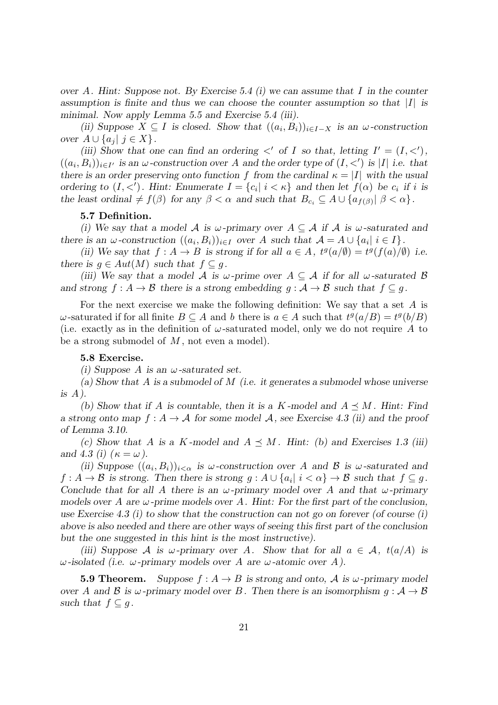*over A. Hint: Suppose not. By Exercise 5.4 (i) we can assume that I in the counter assumption is finite and thus we can choose the counter assumption so that |I| is minimal. Now apply Lemma 5.5 and Exercise 5.4 (iii).*

(*ii*) Suppose  $X \subseteq I$  *is closed. Show that*  $((a_i, B_i))_{i \in I-X}$  *is an*  $\omega$ -construction *over*  $A ∪ \{a_i | j \in X\}$ *.* 

*(iii)* Show that one can find an ordering  $\langle$  of *I* so that, letting  $I' = (I, \langle \cdot \rangle)$ ,  $((a_i, B_i))_{i \in I'}$  is an  $\omega$ -construction over A and the order type of  $(I, \langle \cdot \rangle)$  is |I| i.e. that *there is an order preserving onto function f* from the cardinal  $\kappa = |I|$  with the usual ordering to  $(I, \langle \cdot \rangle)$ . Hint: Enumerate  $I = \{c_i | i \langle \kappa \rangle\}$  and then let  $f(\alpha)$  be  $c_i$  if i is *the least ordinal*  $\neq f(\beta)$  *for any*  $\beta < \alpha$  *and such that*  $B_{c_i} \subseteq A \cup \{a_{f(\beta)} | \beta < \alpha\}$ *.* 

# **5.7 Definition.**

*(i)* We say that a model A is  $\omega$ -primary over  $A \subseteq \mathcal{A}$  if  $\mathcal{A}$  is  $\omega$ -saturated and there is an  $\omega$ -construction  $((a_i, B_i))_{i \in I}$  over A such that  $\mathcal{A} = A \cup \{a_i | i \in I\}$ .

(ii) We say that  $f : A \to B$  is strong if for all  $a \in A$ ,  $t^g(a/\emptyset) = t^g(f(a)/\emptyset)$  i.e. *there is*  $g \in Aut(M)$  *such that*  $f \subseteq g$ .

*(iii)* We say that a model A is  $\omega$ -prime over  $A \subseteq \mathcal{A}$  if for all  $\omega$ -saturated  $\mathcal{B}$ *and strong*  $f : A \to B$  *there is a strong embedding*  $g : A \to B$  *such that*  $f \subset g$ .

For the next exercise we make the following definition: We say that a set *A* is  $\omega$ -saturated if for all finite  $B \subseteq A$  and *b* there is  $a \in A$  such that  $t^g(a/B) = t^g(b/B)$ (i.e. exactly as in the definition of  $\omega$ -saturated model, only we do not require A to be a strong submodel of *M* , not even a model).

## **5.8 Exercise.**

*(i) Suppose A is an ω-saturated set.*

*(a) Show that A is a submodel of M (i.e. it generates a submodel whose universe is A).*

(b) Show that if A is countable, then it is a  $K$ -model and  $A \leq M$ . Hint: Find *a strong onto map*  $f : A \to A$  *for some model* A, see Exercise 4.3 (ii) and the proof *of Lemma 3.10.*

*(c)* Show that A is a *K*-model and  $A \preceq M$ . Hint: *(b)* and Exercises 1.3 *(iii) and* 4.3 *(i)*  $(\kappa = \omega)$ .

*(ii)* Suppose  $((a_i, B_i))_{i < \alpha}$  *is*  $\omega$ -construction over *A* and *B is*  $\omega$ -saturated and  $f: A \to B$  is strong. Then there is strong  $g: A \cup \{a_i | i < \alpha\} \to B$  such that  $f \subseteq g$ . *Conclude that for all A there is an ω-primary model over A and that ω-primary models over A are ω-prime models over A. Hint: For the first part of the conclusion, use Exercise 4.3 (i) to show that the construction can not go on forever (of course (i) above is also needed and there are other ways of seeing this first part of the conclusion but the one suggested in this hint is the most instructive).*

*(iii)* Suppose *A is*  $\omega$ -primary over *A*. Show that for all  $a \in \mathcal{A}$ ,  $t(a/A)$  *is ω-isolated (i.e. ω-primary models over A are ω-atomic over A).*

**5.9 Theorem.** Suppose  $f : A \rightarrow B$  is strong and onto, A is  $\omega$ -primary model *over A* and *B* is  $\omega$ -primary model over *B*. Then there is an isomorphism  $g : A \rightarrow B$ *such that*  $f \subseteq g$ .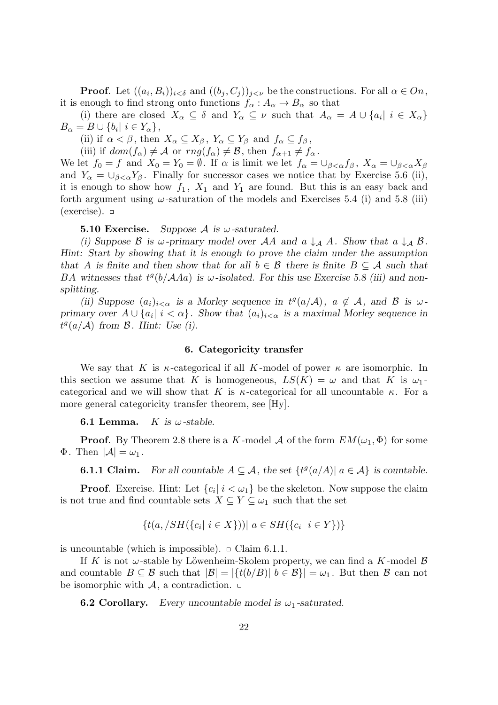**Proof**. Let  $((a_i, B_i))_{i < \delta}$  and  $((b_j, C_j))_{j < \nu}$  be the constructions. For all  $\alpha \in On$ , it is enough to find strong onto functions  $f_{\alpha}: A_{\alpha} \to B_{\alpha}$  so that

(i) there are closed  $X_{\alpha} \subseteq \delta$  and  $Y_{\alpha} \subseteq \nu$  such that  $A_{\alpha} = A \cup \{a_i | i \in X_{\alpha}\}\$ *B*<sup>*a*</sup> = *B*  $\cup$  {*b*<sub>*i*</sub>| *i*  $\in Y_\alpha$ },

(ii) if  $\alpha < \beta$ , then  $X_{\alpha} \subseteq X_{\beta}$ ,  $Y_{\alpha} \subseteq Y_{\beta}$  and  $f_{\alpha} \subseteq f_{\beta}$ ,

(iii) if  $dom(f_\alpha) \neq \mathcal{A}$  or  $rng(f_\alpha) \neq \mathcal{B}$ , then  $f_{\alpha+1} \neq f_\alpha$ .

We let  $f_0 = f$  and  $X_0 = Y_0 = \emptyset$ . If  $\alpha$  is limit we let  $f_\alpha = \bigcup_{\beta < \alpha} f_\beta$ ,  $X_\alpha = \bigcup_{\beta < \alpha} X_\beta$ and  $Y_\alpha = \bigcup_{\beta < \alpha} Y_\beta$ . Finally for successor cases we notice that by Exercise 5.6 (ii), it is enough to show how  $f_1$ ,  $X_1$  and  $Y_1$  are found. But this is an easy back and forth argument using  $\omega$ -saturation of the models and Exercises 5.4 (i) and 5.8 (iii)  $(exercise)$ .  $\Box$ 

**5.10 Exercise.** Suppose A is  $\omega$ -saturated.

*(i)* Suppose  $\beta$  is  $\omega$ -primary model over  $\mathcal{A}A$  and  $\alpha \downarrow_{\mathcal{A}} A$ . Show that  $\alpha \downarrow_{\mathcal{A}} \beta$ . *Hint: Start by showing that it is enough to prove the claim under the assumption that A* is finite and then show that for all  $b \in \mathcal{B}$  there is finite  $B \subseteq \mathcal{A}$  such that *BA* witnesses that  $t^g(b/AAa)$  is  $\omega$ -isolated. For this use Exercise 5.8 (iii) and non*splitting.*

*(ii)* Suppose  $(a_i)_{i < \alpha}$  is a Morley sequence in  $t^g(a/A)$ ,  $a \notin A$ , and B is  $\omega$ *primary over*  $A \cup \{a_i | i < \alpha\}$ . Show that  $(a_i)_{i < \alpha}$  is a maximal Morley sequence in  $t^g(a/A)$  *from*  $B$ *. Hint: Use (i).* 

#### **6. Categoricity transfer**

We say that *K* is  $\kappa$ -categorical if all *K*-model of power  $\kappa$  are isomorphic. In this section we assume that *K* is homogeneous,  $LS(K) = \omega$  and that *K* is  $\omega_1$ . categorical and we will show that *K* is  $\kappa$ -categorical for all uncountable  $\kappa$ . For a more general categoricity transfer theorem, see [Hy].

**6.1 Lemma.** *K* is  $\omega$ -stable.

**Proof.** By Theorem 2.8 there is a *K*-model *A* of the form  $EM(\omega_1, \Phi)$  for some  $\Phi$ . Then  $|\mathcal{A}| = \omega_1$ .

**6.1.1 Claim.** For all countable  $A \subseteq \mathcal{A}$ , the set  $\{t^g(a/A) | a \in \mathcal{A}\}$  is countable.

**Proof**. Exercise. Hint: Let  ${c_i \mid i < \omega_1}$  be the skeleton. Now suppose the claim is not true and find countable sets  $X \subseteq Y \subseteq \omega_1$  such that the set

$$
\{t(a, /SH(\{c_i \mid i \in X\})) \mid a \in SH(\{c_i \mid i \in Y\})\}
$$

is uncountable (which is impossible).  $\Box$  Claim 6.1.1.

If *K* is not  $\omega$ -stable by Löwenheim-Skolem property, we can find a *K*-model  $\beta$ and countable  $B \subseteq B$  such that  $|\mathcal{B}| = |\{t(b/B)| | b \in B\}| = \omega_1$ . But then B can not be isomorphic with  $A$ , a contradiction.  $\Box$ 

**6.2 Corollary.** *Every uncountable model is*  $\omega_1$ -saturated.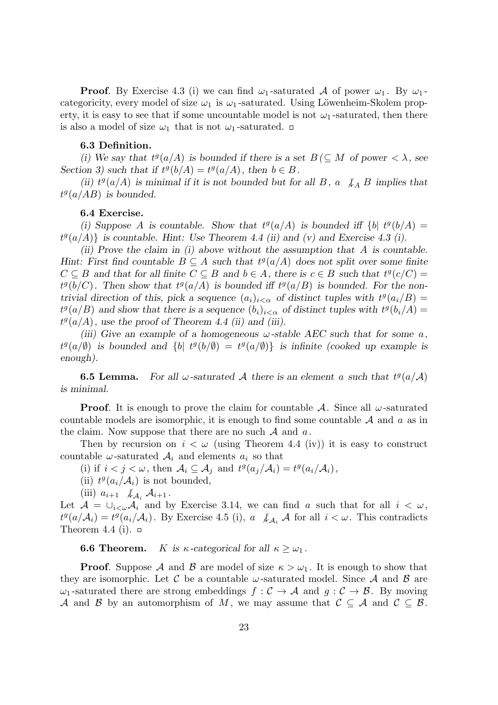**Proof**. By Exercise 4.3 (i) we can find  $\omega_1$ -saturated *A* of power  $\omega_1$ . By  $\omega_1$ categoricity, every model of size  $\omega_1$  is  $\omega_1$ -saturated. Using Löwenheim-Skolem property, it is easy to see that if some uncountable model is not  $\omega_1$ -saturated, then there is also a model of size  $\omega_1$  that is not  $\omega_1$ -saturated.  $\Box$ 

## **6.3 Definition.**

*(i)* We say that  $t^g(a/A)$  is bounded if there is a set  $B \subseteq M$  of power  $\langle \lambda, \lambda \rangle$ *Section 3)* such that if  $t^g(b/A) = t^g(a/A)$ , then  $b \in B$ .

(*ii*)  $t^g(a/A)$  *is minimal if it is not bounded but for all B, a*  $\downarrow_A B$  *implies that*  $t^g(a/AB)$  *is bounded.* 

### **6.4 Exercise.**

(*i)* Suppose *A* is countable. Show that  $t^g(a/A)$  is bounded iff  $\{b \mid t^g(b/A) =$  $t^g(a/A)$ <sup>}</sup> is countable. Hint: Use Theorem 4.4 (ii) and (v) and Exercise 4.3 (i).

*(ii) Prove the claim in (i) above without the assumption that A is countable. Hint: First find countable*  $B \subseteq A$  *such that*  $t^g(a/A)$  *does not split over some finite*  $C \subseteq B$  and that for all finite  $C \subseteq B$  and  $b \in A$ , there is  $c \in B$  such that  $t^g(c/C) =$  $t^g(b/C)$ . Then show that  $t^g(a/A)$  is bounded iff  $t^g(a/B)$  is bounded. For the non*trivial direction of this, pick a sequence*  $(a_i)_{i < \alpha}$  *of distinct tuples with*  $t^g(a_i/B)$  $t^g(a/B)$  and show that there is a sequence  $(b_i)_{i < \alpha}$  of distinct tuples with  $t^g(b_i/A) =$  $t^g(a/A)$ , use the proof of Theorem 4.4 (ii) and (iii).

*(iii)* Give an example of a homogeneous  $\omega$ -stable AEC such that for some  $\alpha$ ,  $t^g(a/\emptyset)$  *is bounded and*  $\{b \mid t^g(b/\emptyset) = t^g(a/\emptyset) \}$  *is infinite (cooked up example is enough).*

**6.5 Lemma.** For all  $\omega$ -saturated A there is an element a such that  $t^g(a/\mathcal{A})$ *is minimal.*

**Proof**. It is enough to prove the claim for countable *A*. Since all *ω*-saturated countable models are isomorphic, it is enough to find some countable *A* and *a* as in the claim. Now suppose that there are no such *A* and *a*.

Then by recursion on  $i < \omega$  (using Theorem 4.4 (iv)) it is easy to construct countable  $\omega$ -saturated  $\mathcal{A}_i$  and elements  $a_i$  so that

(i) if  $i < j < \omega$ , then  $\mathcal{A}_i \subseteq \mathcal{A}_j$  and  $t^g(a_j/\mathcal{A}_i) = t^g(a_i/\mathcal{A}_i)$ ,

(ii)  $t^g(a_i/A_i)$  is not bounded,

(iii) 
$$
a_{i+1} \not\downarrow_{\mathcal{A}_i} \mathcal{A}_{i+1}
$$
.

Let  $A = \bigcup_{i < \omega} A_i$  and by Exercise 3.14, we can find *a* such that for all  $i < \omega$ ,  $t^g(a/A_i) = t^g(a_i/A_i)$ . By Exercise 4.5 (i), *a*  $\downarrow A_i$  *A* for all  $i < \omega$ . This contradicts Theorem 4.4 (i).  $\Box$ 

**6.6 Theorem.** *K* is  $\kappa$ -categorical for all  $\kappa \geq \omega_1$ .

**Proof.** Suppose *A* and *B* are model of size  $\kappa > \omega_1$ . It is enough to show that they are isomorphic. Let C be a countable  $\omega$ -saturated model. Since A and B are *ω*<sub>1</sub>-saturated there are strong embeddings *f* : *C* → *A* and *g* : *C* → *B*. By moving *A* and *B* by an automorphism of *M*, we may assume that  $C \subseteq A$  and  $C \subseteq B$ .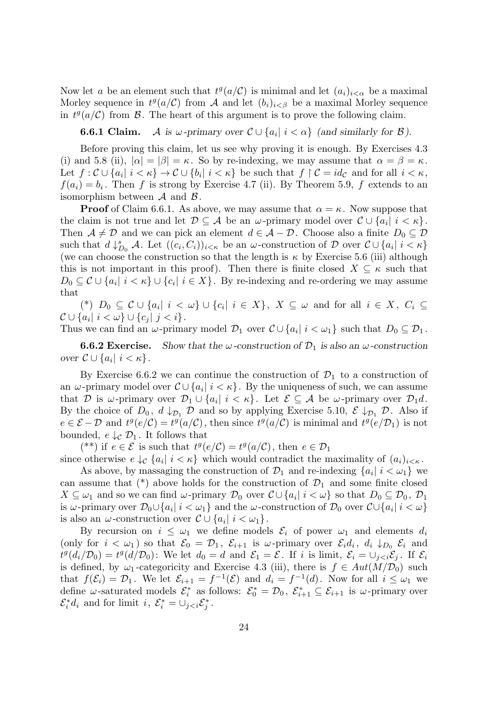Now let *a* be an element such that  $t^g(a/\mathcal{C})$  is minimal and let  $(a_i)_{i < \alpha}$  be a maximal Morley sequence in  $t^g(a/\mathcal{C})$  from A and let  $(b_i)_{i<\beta}$  be a maximal Morley sequence in  $t^g(a/\mathcal{C})$  from  $\mathcal{B}$ . The heart of this argument is to prove the following claim.

**6.6.1 Claim.** *A* is  $\omega$ -primary over  $\mathcal{C} \cup \{a_i | i < \alpha\}$  (and similarly for  $\mathcal{B}$ ).

Before proving this claim, let us see why proving it is enough. By Exercises 4.3 (i) and 5.8 (ii),  $|\alpha| = |\beta| = \kappa$ . So by re-indexing, we may assume that  $\alpha = \beta = \kappa$ . Let  $f: \mathcal{C} \cup \{a_i | i < \kappa\} \to \mathcal{C} \cup \{b_i | i < \kappa\}$  be such that  $f \upharpoonright \mathcal{C} = id_{\mathcal{C}}$  and for all  $i < \kappa$ ,  $f(a_i) = b_i$ . Then *f* is strong by Exercise 4.7 (ii). By Theorem 5.9, *f* extends to an isomorphism between *A* and *B*.

**Proof** of Claim 6.6.1. As above, we may assume that  $\alpha = \kappa$ . Now suppose that the claim is not true and let  $\mathcal{D} \subseteq \mathcal{A}$  be an *ω*-primary model over  $\mathcal{C} \cup \{a_i | i < \kappa\}.$ Then  $A \neq D$  and we can pick an element  $d \in A - D$ . Choose also a finite  $D_0 \subseteq D$ such that  $d \downarrow_{D_0}^s \mathcal{A}$ . Let  $((c_i, C_i))_{i \leq \kappa}$  be an *ω*-construction of  $D$  over  $\mathcal{C} \cup \{a_i | i \leq \kappa\}$ (we can choose the construction so that the length is  $\kappa$  by Exercise 5.6 (iii) although this is not important in this proof). Then there is finite closed  $X \subseteq \kappa$  such that  $D_0 \subseteq \mathcal{C} \cup \{a_i | i < \kappa\} \cup \{c_i | i \in X\}$ . By re-indexing and re-ordering we may assume that

(\*)  $D_0 \subseteq \mathcal{C} \cup \{a_i | i < \omega\} \cup \{c_i | i \in X\}, X \subseteq \omega \text{ and for all } i \in X, C_i \subseteq$  $C ∪ {a_i | i < ω} ∪ {c_j | j < i}.$ 

Thus we can find an *ω*-primary model  $\mathcal{D}_1$  over  $\mathcal{C} \cup \{a_i | i < \omega_1\}$  such that  $D_0 \subseteq \mathcal{D}_1$ .

**6.6.2 Exercise.** Show that the  $\omega$ -construction of  $\mathcal{D}_1$  is also an  $\omega$ -construction *over*  $\mathcal{C} \cup \{a_i | i < \kappa\}.$ 

By Exercise 6.6.2 we can continue the construction of  $\mathcal{D}_1$  to a construction of an  $\omega$ -primary model over  $\mathcal{C} \cup \{a_i | i \leq \kappa\}$ . By the uniqueness of such, we can assume that *D* is *ω*-primary over  $\mathcal{D}_1 \cup \{a_i | i < \kappa\}$ . Let  $\mathcal{E} \subseteq \mathcal{A}$  be *ω*-primary over  $\mathcal{D}_1 d$ . By the choice of  $D_0$ ,  $d \downarrow_{\mathcal{D}_1} \mathcal{D}$  and so by applying Exercise 5.10,  $\mathcal{E} \downarrow_{\mathcal{D}_1} \mathcal{D}$ . Also if  $e \in \mathcal{E} - \mathcal{D}$  and  $t^g(e/\mathcal{C}) = t^g(a/\mathcal{C})$ , then since  $t^g(a/\mathcal{C})$  is minimal and  $t^g(e/\mathcal{D}_1)$  is not bounded,  $e \downarrow_c \mathcal{D}_1$ . It follows that

(\*\*) if  $e \in \mathcal{E}$  is such that  $t^g(e/\mathcal{C}) = t^g(a/\mathcal{C})$ , then  $e \in \mathcal{D}_1$ since otherwise  $e \downarrow_c \{a_i | i \leq \kappa\}$  which would contradict the maximality of  $(a_i)_{i \leq \kappa}$ .

As above, by massaging the construction of  $\mathcal{D}_1$  and re-indexing  $\{a_i | i < \omega_1\}$  we can assume that  $(*)$  above holds for the construction of  $\mathcal{D}_1$  and some finite closed  $X \subseteq \omega_1$  and so we can find  $\omega$ -primary  $\mathcal{D}_0$  over  $\mathcal{C} \cup \{a_i | i < \omega\}$  so that  $D_0 \subseteq \mathcal{D}_0$ ,  $\mathcal{D}_1$ is *ω*-primary over  $\mathcal{D}_0 \cup \{a_i | i < \omega_1\}$  and the *ω*-construction of  $\mathcal{D}_0$  over  $\mathcal{C} \cup \{a_i | i < \omega\}$ is also an *ω*-construction over  $\mathcal{C} \cup \{a_i | i < \omega_1\}.$ 

By recursion on  $i \leq \omega_1$  we define models  $\mathcal{E}_i$  of power  $\omega_1$  and elements  $d_i$ (only for  $i < \omega_1$ ) so that  $\mathcal{E}_0 = \mathcal{D}_1$ ,  $\mathcal{E}_{i+1}$  is  $\omega$ -primary over  $\mathcal{E}_i d_i$ ,  $d_i \downarrow_{D_0} \mathcal{E}_i$  and  $t^g(d_i/\mathcal{D}_0) = t^g(d/\mathcal{D}_0)$ : We let  $d_0 = d$  and  $\mathcal{E}_1 = \mathcal{E}$ . If i is limit,  $\mathcal{E}_i = \bigcup_{j. If  $\mathcal{E}_i$$ is defined, by  $\omega_1$ -categoricity and Exercise 4.3 (iii), there is  $f \in Aut(M/\mathcal{D}_0)$  such that  $f(\mathcal{E}_i) = \mathcal{D}_1$ . We let  $\mathcal{E}_{i+1} = f^{-1}(\mathcal{E})$  and  $d_i = f^{-1}(d)$ . Now for all  $i \leq \omega_1$  we define  $\omega$ -saturated models  $\mathcal{E}_i^*$  as follows:  $\mathcal{E}_0^* = \mathcal{D}_0$ ,  $\mathcal{E}_{i+1}^* \subseteq \mathcal{E}_{i+1}$  is  $\omega$ -primary over  $\mathcal{E}_i^* d_i$  and for limit *i*,  $\mathcal{E}_i^* = \bigcup_{j < i} \mathcal{E}_j^*$ .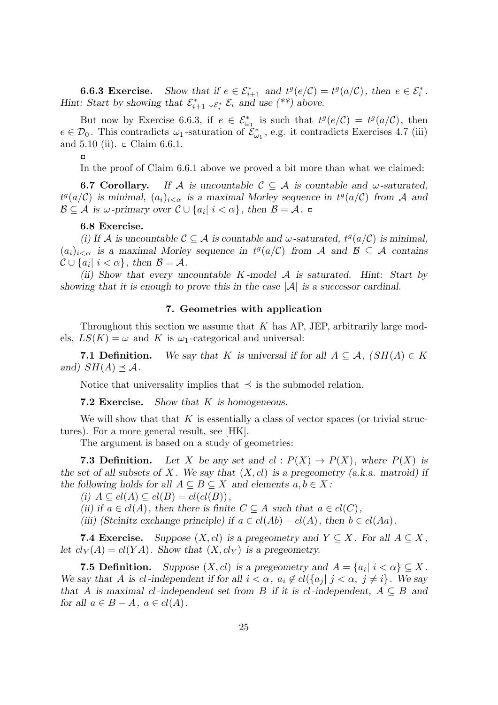**6.6.3 Exercise.** Show that if  $e \in \mathcal{E}_{i+1}^*$  and  $t^g(e/\mathcal{C}) = t^g(a/\mathcal{C})$ , then  $e \in \mathcal{E}_i^*$ . *Hint: Start by showing that*  $\mathcal{E}_{i+1}^* \downarrow_{\mathcal{E}_i^*} \mathcal{E}_i$  and use (\*\*) above.

But now by Exercise 6.6.3, if  $e \in \mathcal{E}^*_{\omega_1}$  is such that  $t^g(e/\mathcal{C}) = t^g(a/\mathcal{C})$ , then  $e \in \mathcal{D}_0$ . This contradicts  $\omega_1$ -saturation of  $\tilde{\mathcal{E}}_{\omega_1}^*$ , e.g. it contradicts Exercises 4.7 (iii) and 5.10 (ii).  $\Box$  Claim 6.6.1.

 $\Box$ 

In the proof of Claim 6.6.1 above we proved a bit more than what we claimed:

**6.7 Corollary.** If A is uncountable  $C \subseteq A$  is countable and  $\omega$ -saturated,  $t^g(a/\mathcal{C})$  *is minimal,*  $(a_i)_{i<\alpha}$  *is a maximal Morley sequence in*  $t^g(a/\mathcal{C})$  *from A and*  $\mathcal{B} \subseteq \mathcal{A}$  *is*  $\omega$ -primary over  $\mathcal{C} \cup \{a_i | i < \alpha\}$ , then  $\mathcal{B} = \mathcal{A}$ .

#### **6.8 Exercise.**

*(i)* If *A* is uncountable  $C \subseteq A$  is countable and  $\omega$ -saturated,  $t^g(a/C)$  is minimal,  $(a_i)_{i < \alpha}$  is a maximal Morley sequence in  $t^g(a/\mathcal{C})$  from A and  $\mathcal{B} \subseteq \mathcal{A}$  contains  $\mathcal{C} \cup \{a_i | i < \alpha\}$ , then  $\mathcal{B} = \mathcal{A}$ .

*(ii) Show that every uncountable K -model A is saturated. Hint: Start by showing that it is enough to prove this in the case |A| is a successor cardinal.*

# **7. Geometries with application**

Throughout this section we assume that *K* has AP, JEP, arbitrarily large models,  $LS(K) = \omega$  and K is  $\omega_1$ -categorical and universal:

**7.1 Definition.** We say that K is universal if for all  $A \subseteq \mathcal{A}$ ,  $(SH(A) \in K)$ *and*)  $SH(A) \preceq A$ *.* 

Notice that universality implies that  $\leq$  is the submodel relation.

**7.2 Exercise.** *Show that K is homogeneous.*

We will show that that *K* is essentially a class of vector spaces (or trivial structures). For a more general result, see [HK].

The argument is based on a study of geometries:

**7.3 Definition.** Let *X* be any set and  $cl: P(X) \to P(X)$ , where  $P(X)$  is *the set of all subsets of X . We say that* (*X, cl*) *is a pregeometry (a.k.a. matroid) if the following holds for all*  $A \subseteq B \subseteq X$  *and elements*  $a, b \in X$ :

 $(i)$   $A \subseteq cl(A) \subseteq cl(B) = cl(cl(B))$ ,

*(ii)* if  $a \in cl(A)$ , then there is finite  $C \subseteq A$  such that  $a \in cl(C)$ ,

*(iii) (Steinitz exchange principle) if*  $a \in cl(Ab) - cl(A)$ , then  $b \in cl(Aa)$ .

**7.4 Exercise.** Suppose  $(X, cl)$  is a pregeometry and  $Y \subseteq X$ . For all  $A \subseteq X$ , *let*  $cl_Y(A) = cl(YA)$ *. Show that*  $(X, cl_Y)$  *is a pregeometry.* 

**7.5 Definition.** Suppose  $(X, cl)$  is a pregeometry and  $A = \{a_i | i < \alpha\} \subseteq X$ . We say that A is cl-independent if for all  $i < \alpha$ ,  $a_i \notin cl({a_i | j < \alpha, j \neq i})$ . We say *that A* is maximal *cl-independent set from B* if it is *cl-independent*,  $A \subseteq B$  *and for all*  $a \in B - A$ *,*  $a \in cl(A)$ *.*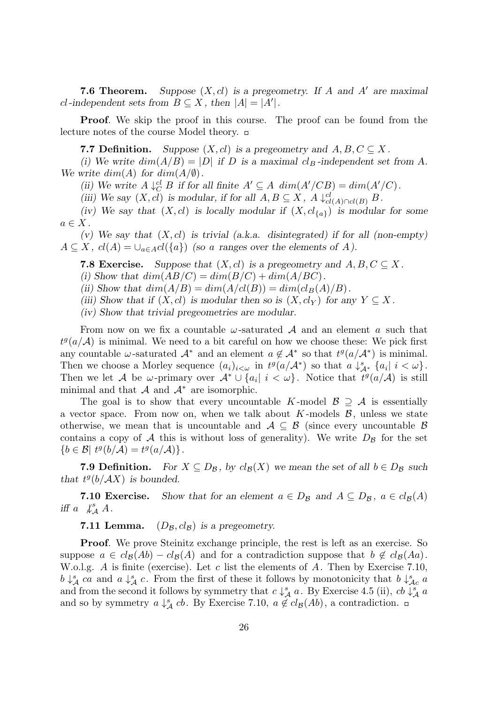**7.6 Theorem.** Suppose  $(X, cl)$  is a pregeometry. If A and A' are maximal *cl*-independent sets from  $B \subseteq X$ , then  $|A| = |A'|$ .

**Proof.** We skip the proof in this course. The proof can be found from the lecture notes of the course Model theory.

**7.7 Definition.** *Suppose*  $(X, cl)$  *is a pregeometry and*  $A, B, C \subseteq X$ .

*(i)* We write  $dim(A/B) = |D|$  if D is a maximal  $cl_B$ -independent set from A. *We write*  $dim(A)$  *for*  $dim(A/\emptyset)$ *.* 

*(ii)* We write  $A \downarrow_C^{\text{cl}} B$  if for all finite  $A' \subseteq A$   $\dim(A'/CB) = \dim(A'/C)$ .

*(iii) We say*  $(X, cl)$  *is modular, if for all*  $A, B \subseteq X$ ,  $A \downarrow_{cl}^{cl}$  $\frac{cl}{cl(A) ∩ cl(B)} B$ .

*(iv)* We say that  $(X, cl)$  *is locally modular if*  $(X, cl_{\{a\}})$  *is modular for some*  $a \in X$ .

*(v) We say that* (*X, cl*) *is trivial (a.k.a. disintegrated) if for all (non-empty)*  $A \subseteq X$ ,  $cl(A) = \bigcup_{a \in A} cl({a} \cap {a} \cap {a}$  *(so a ranges over the elements of A).* 

**7.8 Exercise.** Suppose that  $(X, cl)$  is a pregeometry and  $A, B, C \subseteq X$ .

(i) Show that  $dim(AB/C) = dim(B/C) + dim(A/BC)$ .

(ii) Show that  $dim(A/B) = dim(A/cl(B)) = dim(cl_B(A)/B)$ .

*(iii)* Show that if  $(X, cl)$  is modular then so is  $(X, cl_Y)$  for any  $Y \subseteq X$ .

*(iv) Show that trivial pregeometries are modular.*

From now on we fix a countable *ω*-saturated *A* and an element *a* such that  $t^g(a/A)$  is minimal. We need to a bit careful on how we choose these: We pick first any countable  $\omega$ -saturated  $\mathcal{A}^*$  and an element  $a \notin \mathcal{A}^*$  so that  $t^g(a/\mathcal{A}^*)$  is minimal. Then we choose a Morley sequence  $(a_i)_{i < \omega}$  in  $t^g(a/A^*)$  so that  $a \downarrow^s_{A^*} \{a_i | i < \omega\}$ . Then we let *A* be *ω*-primary over  $A^* \cup \{a_i | i < \omega\}$ . Notice that  $t^g(a/A)$  is still minimal and that *A* and *A<sup>∗</sup>* are isomorphic.

The goal is to show that every uncountable *K*-model  $\mathcal{B} \supseteq \mathcal{A}$  is essentially a vector space. From now on, when we talk about  $K$ -models  $\mathcal{B}$ , unless we state otherwise, we mean that is uncountable and  $A \subseteq B$  (since every uncountable *B*) contains a copy of  $\mathcal A$  this is without loss of generality). We write  $D_{\mathcal B}$  for the set  ${b \in \mathcal{B} \mid t^g(b/A) = t^g(a/A)}.$ 

**7.9 Definition.** For  $X \subseteq D_B$ , by  $cl_B(X)$  we mean the set of all  $b \in D_B$  such *that*  $t^g(b/AX)$  *is bounded.* 

**7.10 Exercise.** Show that for an element  $a \in D_B$  and  $A \subseteq D_B$ ,  $a \in cl_B(A)$ *iff*  $a \not\downarrow^s_A A$ .

**7.11 Lemma.**  $(D_B, cl_B)$  is a pregeometry.

**Proof.** We prove Steinitz exchange principle, the rest is left as an exercise. So suppose  $a \in cl_{\mathcal{B}}(Ab) - cl_{\mathcal{B}}(A)$  and for a contradiction suppose that  $b \notin cl_{\mathcal{B}}(Aa)$ . W.o.l.g. *A* is finite (exercise). Let *c* list the elements of *A*. Then by Exercise 7.10,  $b \downarrow^s_{\mathcal{A}}$  *ca* and  $a \downarrow^s_{\mathcal{A}} c$ . From the first of these it follows by monotonicity that  $b \downarrow^s_{\mathcal{A}c} a$ and from the second it follows by symmetry that  $c \downarrow^s_{\mathcal{A}} a$ . By Exercise 4.5 (ii),  $cb \downarrow^s_{\mathcal{A}} a$ and so by symmetry  $a \downarrow^s_A cb$ . By Exercise 7.10,  $a \notin cl_{\mathcal{B}}(Ab)$ , a contradiction.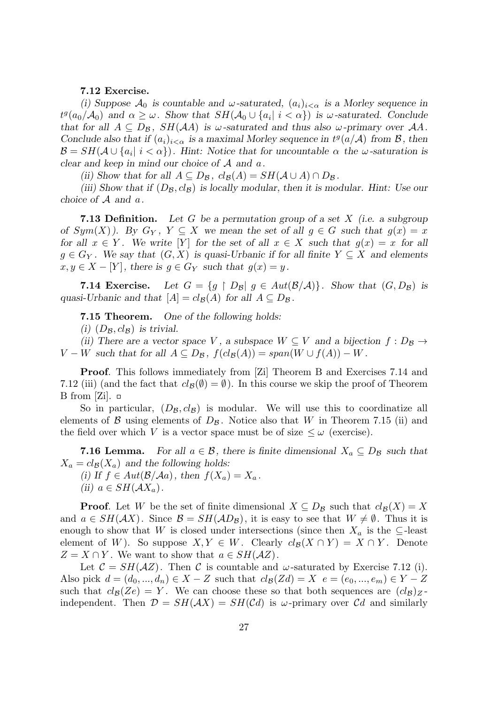## **7.12 Exercise.**

(i) Suppose  $\mathcal{A}_0$  *is countable and*  $\omega$ -saturated,  $(a_i)_{i < \alpha}$  *is a Morley sequence in*  $t^g(a_0/A_0)$  and  $\alpha \geq \omega$ . Show that  $SH(A_0 \cup \{a_i | i < \alpha\})$  is  $\omega$ -saturated. Conclude *that for all*  $A \subseteq D_B$ ,  $SH(AA)$  *is*  $\omega$ -saturated and thus also  $\omega$ -primary over  $AA$ . *Conclude also that if*  $(a_i)_{i < \alpha}$  *is a maximal Morley sequence in*  $t^g(a/A)$  *from*  $\beta$ *, then*  $\mathcal{B} = SH(\mathcal{A} \cup \{a_i \mid i < \alpha\})$ . Hint: Notice that for uncountable  $\alpha$  the  $\omega$ -saturation is *clear and keep in mind our choice of A and a.*

*(ii)* Show that for all  $A \subseteq D_{\mathcal{B}}$ ,  $cl_{\mathcal{B}}(A) = SH(A \cup A) \cap D_{\mathcal{B}}$ .

*(iii) Show that if*  $(D_{\mathcal{B}}, cl_{\mathcal{B}})$  *is locally modular, then it is modular. Hint: Use our choice of A and a.*

**7.13 Definition.** *Let G be a permutation group of a set X (i.e. a subgroup of*  $Sym(X)$ . By  $G_Y$ ,  $Y \subseteq X$  we mean the set of all  $g \in G$  such that  $g(x) = x$ *for all*  $x \in Y$ *. We write* [*Y*] *for the set of all*  $x \in X$  *such that*  $g(x) = x$  *for all g* ∈  $G_Y$ . We say that  $(G, X)$  is quasi-Urbanic if for all finite  $Y ⊆ X$  and elements  $x, y \in X - [Y]$ , there is  $g \in G_Y$  such that  $g(x) = y$ .

**7.14 Exercise.** Let  $G = \{g \mid D_g | g \in Aut(\mathcal{B}/\mathcal{A})\}$ . Show that  $(G, D_g)$  is *quasi-Urbanic and that*  $[A] = cl_{\mathcal{B}}(A)$  *for all*  $A \subseteq D_{\mathcal{B}}$ .

**7.15 Theorem.** *One of the following holds:*

*(i)*  $(D_{\mathcal{B}}, cl_{\mathcal{B}})$  *is trivial.* 

*(ii)* There are a vector space *V*, a subspace  $W \subseteq V$  and a bijection  $f : D_B \rightarrow$  $V - W$  *such that for all*  $A \subseteq D_B$ ,  $f(cl_B(A)) = span(W \cup f(A)) - W$ .

**Proof.** This follows immediately from [Zi] Theorem B and Exercises 7.14 and 7.12 (iii) (and the fact that  $cl_{\mathcal{B}}(\emptyset) = \emptyset$ ). In this course we skip the proof of Theorem B from [Zi].  $\Box$ 

So in particular,  $(D_{\mathcal{B}}, c l_{\mathcal{B}})$  is modular. We will use this to coordinatize all elements of  $\beta$  using elements of  $D_{\beta}$ . Notice also that *W* in Theorem 7.15 (ii) and the field over which *V* is a vector space must be of size  $\leq \omega$  (exercise).

**7.16 Lemma.** For all  $a \in \mathcal{B}$ , there is finite dimensional  $X_a \subseteq D_{\mathcal{B}}$  such that  $X_a = cl_{\mathcal{B}}(X_a)$  and the following holds:

(i) If  $f \in Aut(\mathcal{B}/\mathcal{A}a)$ , then  $f(X_a) = X_a$ .  $(iii)$   $a \in SH(\mathcal{A}X_a)$ .

**Proof**. Let *W* be the set of finite dimensional  $X \subseteq D_B$  such that  $cl_B(X) = X$ and  $a \in SH(\mathcal{A}X)$ . Since  $\mathcal{B} = SH(\mathcal{A}D_{\mathcal{B}})$ , it is easy to see that  $W \neq \emptyset$ . Thus it is enough to show that *W* is closed under intersections (since then  $X_a$  is the  $\subseteq$ -least element of *W*). So suppose  $X, Y \in W$ . Clearly  $cl_{\mathcal{B}}(X \cap Y) = X \cap Y$ . Denote  $Z = X \cap Y$ . We want to show that  $a \in SH(\mathcal{A}Z)$ .

Let  $C = SH(\mathcal{A}Z)$ . Then *C* is countable and *ω*-saturated by Exercise 7.12 (i). Also pick  $d = (d_0, ..., d_n) \in X - Z$  such that  $cl_{\mathcal{B}}(Zd) = X$   $e = (e_0, ..., e_m) \in Y - Z$ such that  $clg(Ze) = Y$ . We can choose these so that both sequences are  $(clg)_{Z}$ independent. Then  $\mathcal{D} = SH(\mathcal{A}X) = SH(\mathcal{C}d)$  is  $\omega$ -primary over  $\mathcal{C}d$  and similarly